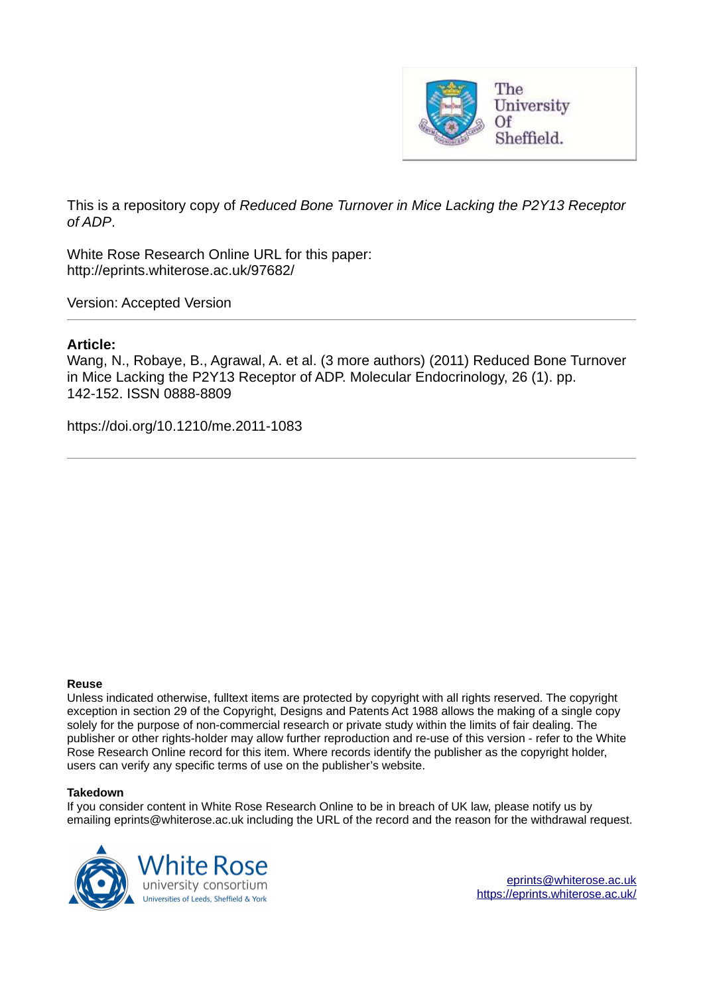

This is a repository copy of *Reduced Bone Turnover in Mice Lacking the P2Y13 Receptor of ADP*.

White Rose Research Online URL for this paper: http://eprints.whiterose.ac.uk/97682/

Version: Accepted Version

### **Article:**

Wang, N., Robaye, B., Agrawal, A. et al. (3 more authors) (2011) Reduced Bone Turnover in Mice Lacking the P2Y13 Receptor of ADP. Molecular Endocrinology, 26 (1). pp. 142-152. ISSN 0888-8809

https://doi.org/10.1210/me.2011-1083

#### **Reuse**

Unless indicated otherwise, fulltext items are protected by copyright with all rights reserved. The copyright exception in section 29 of the Copyright, Designs and Patents Act 1988 allows the making of a single copy solely for the purpose of non-commercial research or private study within the limits of fair dealing. The publisher or other rights-holder may allow further reproduction and re-use of this version - refer to the White Rose Research Online record for this item. Where records identify the publisher as the copyright holder, users can verify any specific terms of use on the publisher's website.

#### **Takedown**

If you consider content in White Rose Research Online to be in breach of UK law, please notify us by emailing eprints@whiterose.ac.uk including the URL of the record and the reason for the withdrawal request.

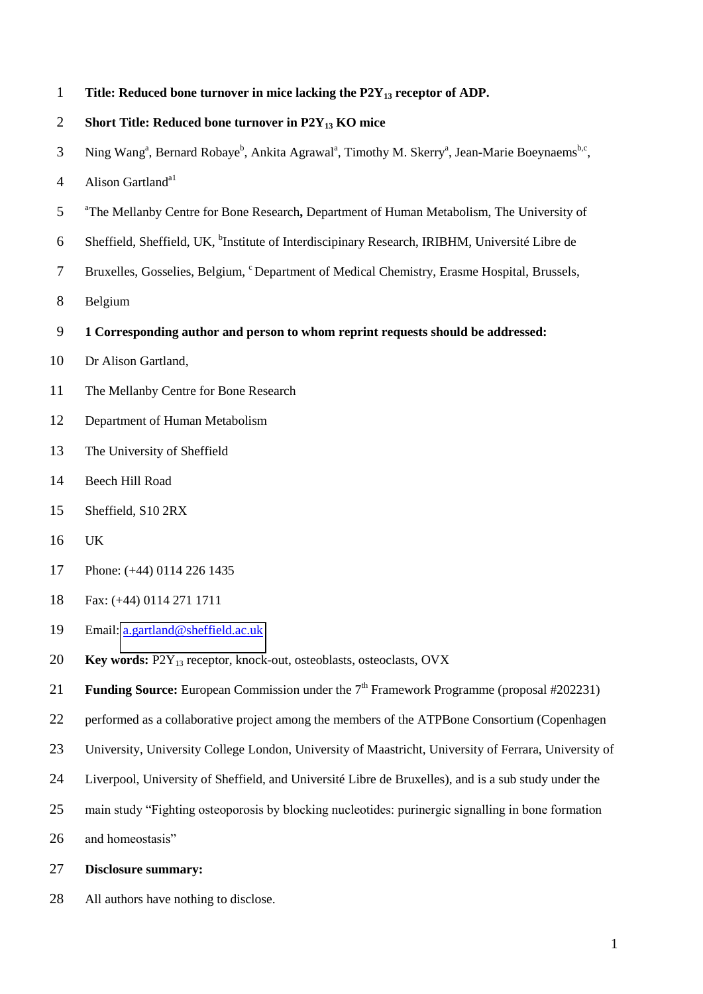**Title: Reduced bone turnover in mice lacking the P2Y13 receptor of ADP.** 

```
2 Short Title: Reduced bone turnover in P2Y13 KO mice
```
- 3 Ning Wang<sup>a</sup>, Bernard Robaye<sup>b</sup>, Ankita Agrawal<sup>a</sup>, Timothy M. Skerry<sup>a</sup>, Jean-Marie Boeynaems<sup>b,c</sup>,
- 4 Alison Gartland<sup>a1</sup>
- <sup>a</sup> The Mellanby Centre for Bone Research, Department of Human Metabolism, The University of
- 6 Sheffield, Sheffield, UK, <sup>b</sup>Institute of Interdiscipinary Research, IRIBHM, Université Libre de
- 7 Bruxelles, Gosselies, Belgium, <sup>c</sup>Department of Medical Chemistry, Erasme Hospital, Brussels,
- Belgium
- **1 Corresponding author and person to whom reprint requests should be addressed:**
- Dr Alison Gartland,
- The Mellanby Centre for Bone Research
- Department of Human Metabolism
- The University of Sheffield
- Beech Hill Road
- Sheffield, S10 2RX
- UK
- Phone: (+44) 0114 226 1435
- Fax: (+44) 0114 271 1711
- Email: [a.gartland@sheffield.ac.uk](mailto:a.gartland@sheffield.ac.uk)
- **Key words:** P2Y13 receptor, knock-out, osteoblasts, osteoclasts, OVX
- 21 **Funding Source:** European Commission under the 7<sup>th</sup> Framework Programme (proposal #202231)
- 22 performed as a collaborative project among the members of the ATPBone Consortium (Copenhagen
- University, University College London, University of Maastricht, University of Ferrara, University of
- Liverpool, University of Sheffield, and Université Libre de Bruxelles), and is a sub study under the
- main study "Fighting osteoporosis by blocking nucleotides: purinergic signalling in bone formation
- and homeostasis"
- **Disclosure summary:**
- All authors have nothing to disclose.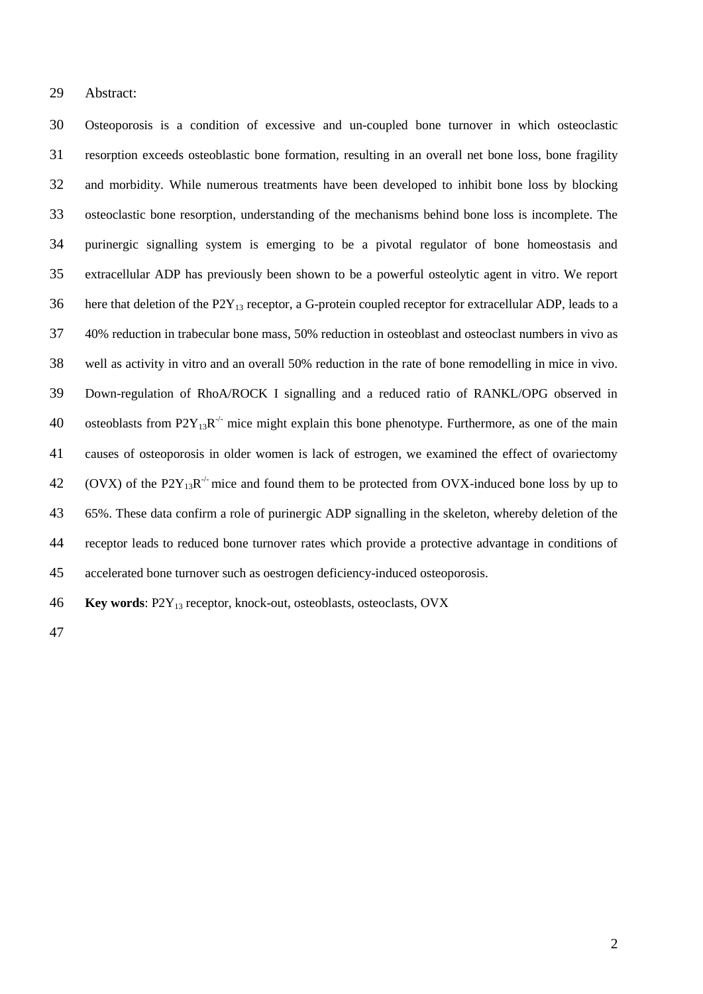29 Abstract:

Osteoporosis is a condition of excessive and un-coupled bone turnover in which osteoclastic resorption exceeds osteoblastic bone formation, resulting in an overall net bone loss, bone fragility and morbidity. While numerous treatments have been developed to inhibit bone loss by blocking osteoclastic bone resorption, understanding of the mechanisms behind bone loss is incomplete. The purinergic signalling system is emerging to be a pivotal regulator of bone homeostasis and extracellular ADP has previously been shown to be a powerful osteolytic agent in vitro. We report 36 here that deletion of the  $P2Y_{13}$  receptor, a G-protein coupled receptor for extracellular ADP, leads to a 40% reduction in trabecular bone mass, 50% reduction in osteoblast and osteoclast numbers in vivo as well as activity in vitro and an overall 50% reduction in the rate of bone remodelling in mice in vivo. Down-regulation of RhoA/ROCK I signalling and a reduced ratio of RANKL/OPG observed in 40 osteoblasts from  $P2Y_{13}R^{-1}$  mice might explain this bone phenotype. Furthermore, as one of the main causes of osteoporosis in older women is lack of estrogen, we examined the effect of ovariectomy 42 (OVX) of the P2Y<sub>13</sub>R<sup>-/-</sup> mice and found them to be protected from OVX-induced bone loss by up to 65%. These data confirm a role of purinergic ADP signalling in the skeleton, whereby deletion of the receptor leads to reduced bone turnover rates which provide a protective advantage in conditions of accelerated bone turnover such as oestrogen deficiency-induced osteoporosis.

**Key words**: P2Y13 receptor, knock-out, osteoblasts, osteoclasts, OVX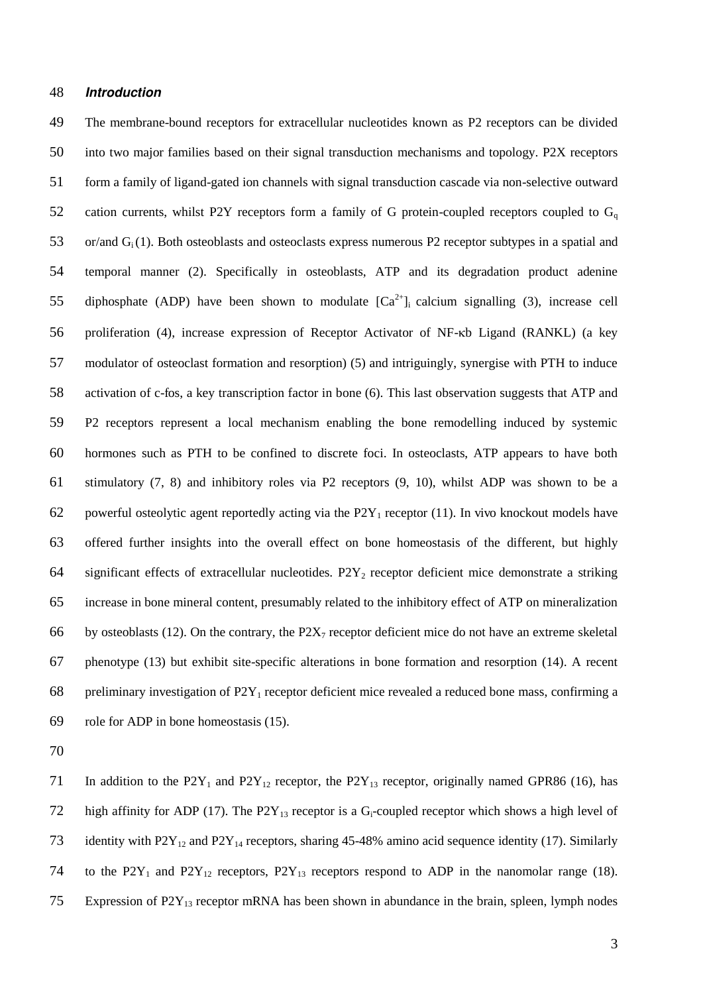#### 48 *Introduction*

The membrane-bound receptors for extracellular nucleotides known as P2 receptors can be divided into two major families based on their signal transduction mechanisms and topology. P2X receptors form a family of ligand-gated ion channels with signal transduction cascade via non-selective outward 52 cation currents, whilst P2Y receptors form a family of G protein-coupled receptors coupled to  $G_q$ or/and Gi (1). Both osteoblasts and osteoclasts express numerous P2 receptor subtypes in a spatial and temporal manner (2). Specifically in osteoblasts, ATP and its degradation product adenine 55 diphosphate (ADP) have been shown to modulate  $[Ca^{2+}]_i$  calcium signalling (3), increase cell 56 proliferation (4), increase expression of Receptor Activator of NF-kb Ligand (RANKL) (a key modulator of osteoclast formation and resorption) (5) and intriguingly, synergise with PTH to induce activation of c-fos, a key transcription factor in bone (6). This last observation suggests that ATP and P2 receptors represent a local mechanism enabling the bone remodelling induced by systemic hormones such as PTH to be confined to discrete foci. In osteoclasts, ATP appears to have both stimulatory (7, 8) and inhibitory roles via P2 receptors (9, 10), whilst ADP was shown to be a 62 powerful osteolytic agent reportedly acting via the  $P2Y_1$  receptor (11). In vivo knockout models have offered further insights into the overall effect on bone homeostasis of the different, but highly 64 significant effects of extracellular nucleotides.  $P2Y_2$  receptor deficient mice demonstrate a striking increase in bone mineral content, presumably related to the inhibitory effect of ATP on mineralization 66 by osteoblasts (12). On the contrary, the  $P2X_7$  receptor deficient mice do not have an extreme skeletal phenotype (13) but exhibit site-specific alterations in bone formation and resorption (14). A recent 68 preliminary investigation of  $P2Y_1$  receptor deficient mice revealed a reduced bone mass, confirming a role for ADP in bone homeostasis (15).

70

71 In addition to the  $P2Y_1$  and  $P2Y_{12}$  receptor, the  $P2Y_{13}$  receptor, originally named GPR86 (16), has 72 high affinity for ADP (17). The P2Y<sub>13</sub> receptor is a G<sub>i</sub>-coupled receptor which shows a high level of 73 identity with  $P2Y_{12}$  and  $P2Y_{14}$  receptors, sharing 45-48% amino acid sequence identity (17). Similarly 74 to the  $P2Y_1$  and  $P2Y_{12}$  receptors,  $P2Y_{13}$  receptors respond to ADP in the nanomolar range (18). 75 Expression of  $P2Y_{13}$  receptor mRNA has been shown in abundance in the brain, spleen, lymph nodes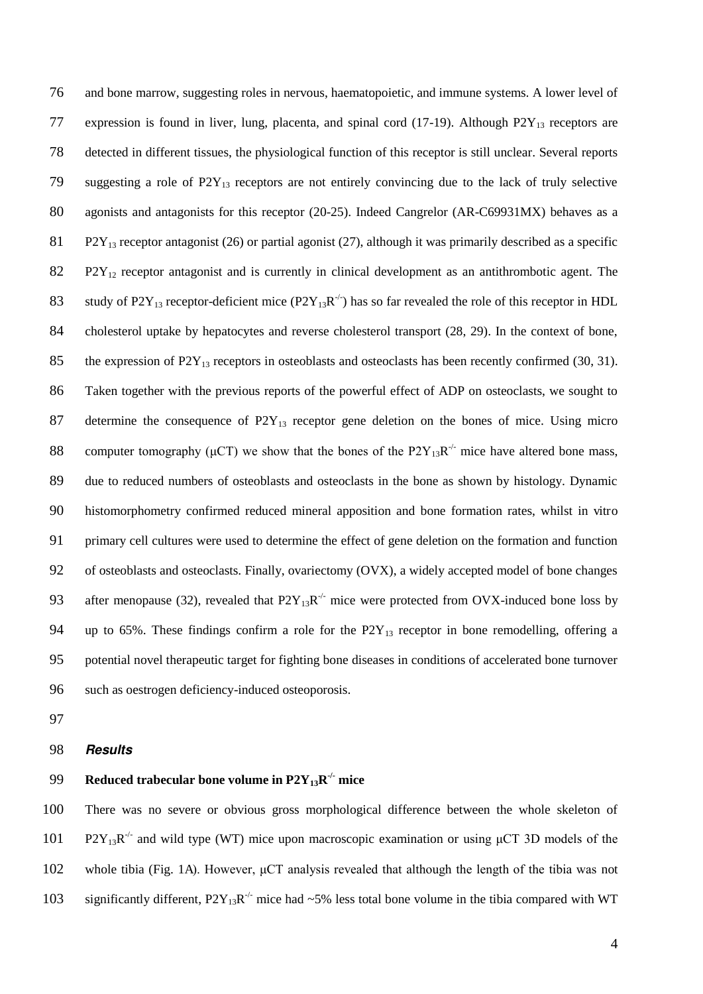76 and bone marrow, suggesting roles in nervous, haematopoietic, and immune systems. A lower level of 77 expression is found in liver, lung, placenta, and spinal cord  $(17-19)$ . Although P2Y<sub>13</sub> receptors are 78 detected in different tissues, the physiological function of this receptor is still unclear. Several reports 79 suggesting a role of P2Y13 receptors are not entirely convincing due to the lack of truly selective 80 agonists and antagonists for this receptor (20-25). Indeed Cangrelor (AR-C69931MX) behaves as a 81 P2Y<sub>13</sub> receptor antagonist (26) or partial agonist (27), although it was primarily described as a specific 82 P2Y<sub>12</sub> receptor antagonist and is currently in clinical development as an antithrombotic agent. The 83 study of P2Y<sub>13</sub> receptor-deficient mice (P2Y<sub>13</sub>R<sup>-/-</sup>) has so far revealed the role of this receptor in HDL 84 cholesterol uptake by hepatocytes and reverse cholesterol transport (28, 29). In the context of bone, 85 the expression of  $P2Y_{13}$  receptors in osteoblasts and osteoclasts has been recently confirmed (30, 31). 86 Taken together with the previous reports of the powerful effect of ADP on osteoclasts, we sought to 87 determine the consequence of  $P2Y_{13}$  receptor gene deletion on the bones of mice. Using micro 88 computer tomography ( $\mu$ CT) we show that the bones of the P2Y<sub>13</sub>R<sup>-/-</sup> mice have altered bone mass, 89 due to reduced numbers of osteoblasts and osteoclasts in the bone as shown by histology. Dynamic 90 histomorphometry confirmed reduced mineral apposition and bone formation rates, whilst in vitro 91 primary cell cultures were used to determine the effect of gene deletion on the formation and function 92 of osteoblasts and osteoclasts. Finally, ovariectomy (OVX), a widely accepted model of bone changes 93 after menopause (32), revealed that  $P2Y_{13}R<sup>-/-</sup>$  mice were protected from OVX-induced bone loss by 94 up to 65%. These findings confirm a role for the  $P2Y_{13}$  receptor in bone remodelling, offering a 95 potential novel therapeutic target for fighting bone diseases in conditions of accelerated bone turnover 96 such as oestrogen deficiency-induced osteoporosis.

97

#### 98 *Results*

# **Reduced trabecular bone volume in**  $P2Y_{13}R^{\prime\prime}$  **mice**

100 There was no severe or obvious gross morphological difference between the whole skeleton of 101 P2Y<sub>13</sub>R<sup>-/-</sup> and wild type (WT) mice upon macroscopic examination or using  $\mu$ CT 3D models of the 102 whole tibia (Fig. 1A). However,  $\mu$ CT analysis revealed that although the length of the tibia was not 103 significantly different,  $P2Y_{13}R^{-1}$  mice had ~5% less total bone volume in the tibia compared with WT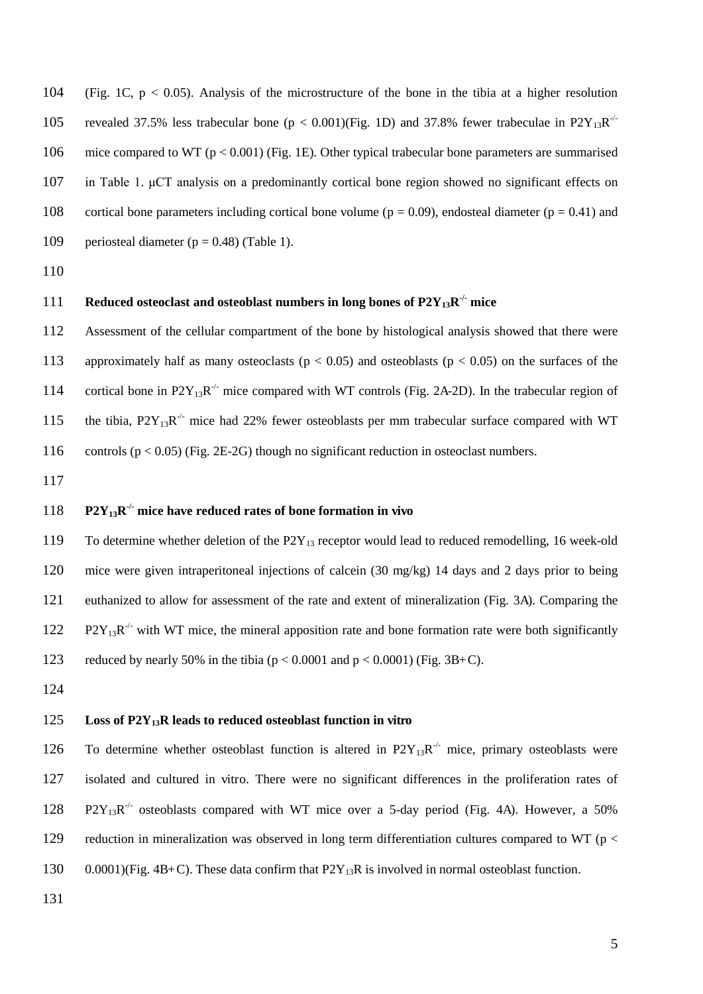104 (Fig. 1C, p < 0.05). Analysis of the microstructure of the bone in the tibia at a higher resolution 105 revealed 37.5% less trabecular bone ( $p < 0.001$ )(Fig. 1D) and 37.8% fewer trabeculae in P2Y<sub>13</sub>R<sup>-/-</sup> 106 mice compared to WT (p < 0.001) (Fig. 1E). Other typical trabecular bone parameters are summarised 107 in Table 1. µCT analysis on a predominantly cortical bone region showed no significant effects on 108 cortical bone parameters including cortical bone volume ( $p = 0.09$ ), endosteal diameter ( $p = 0.41$ ) and 109 periosteal diameter ( $p = 0.48$ ) (Table 1).

110

# **Reduced osteoclast and osteoblast numbers in long bones of**  $P2Y_{13}R^{\prime\prime}$  **mice**

112 Assessment of the cellular compartment of the bone by histological analysis showed that there were 113 approximately half as many osteoclasts ( $p < 0.05$ ) and osteoblasts ( $p < 0.05$ ) on the surfaces of the 114 cortical bone in  $P2Y_{13}R^{-1}$  mice compared with WT controls (Fig. 2A-2D). In the trabecular region of 115 the tibia,  $P2Y_{13}R^{-1}$  mice had 22% fewer osteoblasts per mm trabecular surface compared with WT 116 controls ( $p < 0.05$ ) (Fig. 2E-2G) though no significant reduction in osteoclast numbers.

117

# 118 **P2Y**<sub>13</sub> $\mathbf{R}^{\prime}$  mice have reduced rates of bone formation in vivo

119 To determine whether deletion of the P2Y<sub>13</sub> receptor would lead to reduced remodelling, 16 week-old 120 mice were given intraperitoneal injections of calcein (30 mg/kg) 14 days and 2 days prior to being 121 euthanized to allow for assessment of the rate and extent of mineralization (Fig. 3A). Comparing the 122  $P2Y_{13}R^{-1}$  with WT mice, the mineral apposition rate and bone formation rate were both significantly 123 reduced by nearly 50% in the tibia ( $p < 0.0001$  and  $p < 0.0001$ ) (Fig. 3B+C).

124

#### 125 **Loss of P2Y13R leads to reduced osteoblast function in vitro**

126 To determine whether osteoblast function is altered in  $P2Y_{13}R^{-1}$  mice, primary osteoblasts were 127 isolated and cultured in vitro. There were no significant differences in the proliferation rates of 128  $P2Y_{13}R^{-1}$  osteoblasts compared with WT mice over a 5-day period (Fig. 4A). However, a 50% 129 reduction in mineralization was observed in long term differentiation cultures compared to WT ( $p <$ 130 0.0001)(Fig. 4B+C). These data confirm that  $P2Y_{13}R$  is involved in normal osteoblast function.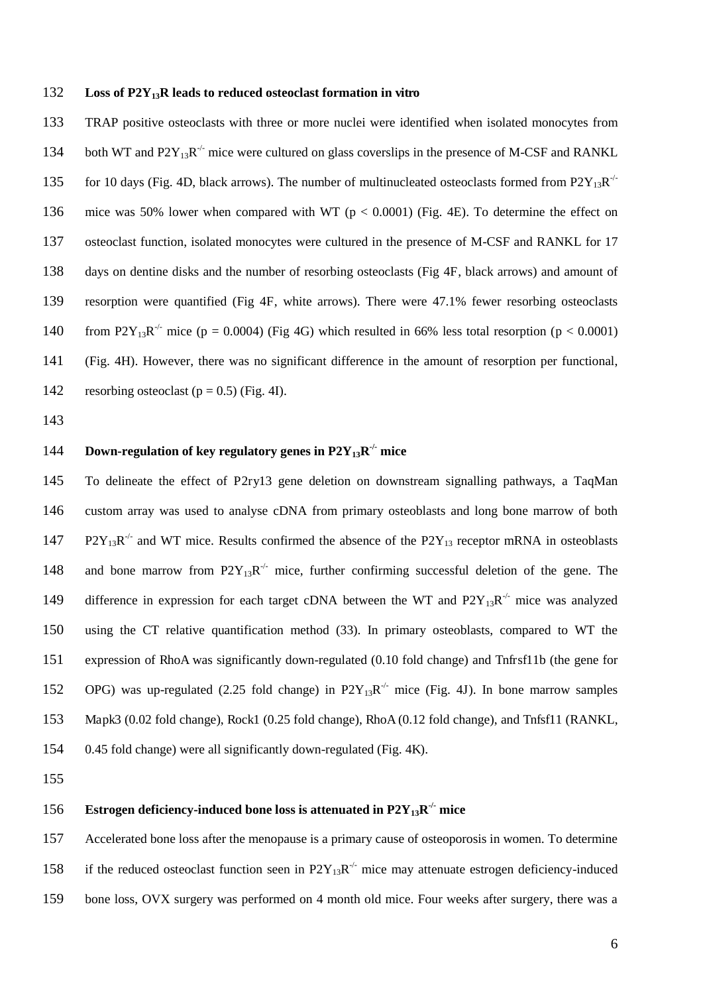#### **Loss of P2Y13R leads to reduced osteoclast formation in vitro**

TRAP positive osteoclasts with three or more nuclei were identified when isolated monocytes from 134 both WT and  $P2Y_{13}R^{-1}$  mice were cultured on glass coverslips in the presence of M-CSF and RANKL 135 for 10 days (Fig. 4D, black arrows). The number of multinucleated osteoclasts formed from  $P2Y_{13}R^{-1}$ mice was 50% lower when compared with WT (p < 0.0001) (Fig. 4E). To determine the effect on osteoclast function, isolated monocytes were cultured in the presence of M-CSF and RANKL for 17 days on dentine disks and the number of resorbing osteoclasts (Fig 4F, black arrows) and amount of resorption were quantified (Fig 4F, white arrows). There were 47.1% fewer resorbing osteoclasts 140 from P2Y<sub>13</sub>R<sup>-/-</sup> mice (p = 0.0004) (Fig 4G) which resulted in 66% less total resorption (p < 0.0001) (Fig. 4H). However, there was no significant difference in the amount of resorption per functional, 142 resorbing osteoclast ( $p = 0.5$ ) (Fig. 4I).

# 144 **Down-regulation of key regulatory genes in P2Y<sub>13</sub>R<sup>-/-</sup> mice**

To delineate the effect of P2ry13 gene deletion on downstream signalling pathways, a TaqMan custom array was used to analyse cDNA from primary osteoblasts and long bone marrow of both 147 P2Y<sub>13</sub>R<sup>-/-</sup> and WT mice. Results confirmed the absence of the P2Y<sub>13</sub> receptor mRNA in osteoblasts 148 and bone marrow from  $P2Y_{13}R<sup>-/-</sup>$  mice, further confirming successful deletion of the gene. The 149 difference in expression for each target cDNA between the WT and  $P2Y_{13}R<sup>-/-</sup>$  mice was analyzed using the CT relative quantification method (33). In primary osteoblasts, compared to WT the expression of RhoA was significantly down-regulated (0.10 fold change) and Tnfrsf11b (the gene for 152 OPG) was up-regulated (2.25 fold change) in  $P2Y_{13}R^{-1}$  mice (Fig. 4J). In bone marrow samples Mapk3 (0.02 fold change), Rock1 (0.25 fold change), RhoA (0.12 fold change), and Tnfsf11 (RANKL, 0.45 fold change) were all significantly down-regulated (Fig. 4K).

# **156 Estrogen deficiency-induced bone loss is attenuated in**  $P2Y_{13}R^{\prime\prime}$  **mice**

Accelerated bone loss after the menopause is a primary cause of osteoporosis in women. To determine 158 if the reduced osteoclast function seen in  $P2Y_{13}R<sup>-/-</sup>$  mice may attenuate estrogen deficiency-induced bone loss, OVX surgery was performed on 4 month old mice. Four weeks after surgery, there was a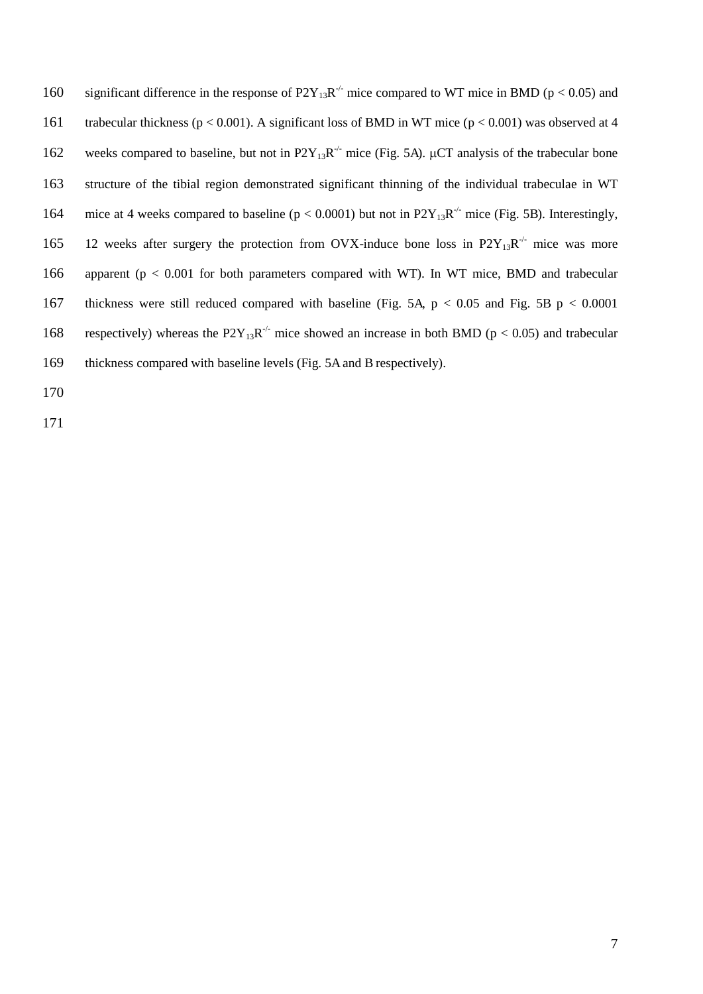160 significant difference in the response of  $P2Y_{13}R<sup>-/-</sup>$  mice compared to WT mice in BMD (p < 0.05) and trabecular thickness (p < 0.001). A significant loss of BMD in WT mice (p < 0.001) was observed at 4 162 weeks compared to baseline, but not in  $P2Y_{13}R^{-1}$  mice (Fig. 5A).  $\mu$ CT analysis of the trabecular bone structure of the tibial region demonstrated significant thinning of the individual trabeculae in WT 164 mice at 4 weeks compared to baseline ( $p < 0.0001$ ) but not in P2Y<sub>13</sub>R<sup>-/-</sup> mice (Fig. 5B). Interestingly, 165 12 weeks after surgery the protection from OVX-induce bone loss in  $P2Y_{13}R^{-1}$  mice was more apparent (p < 0.001 for both parameters compared with WT). In WT mice, BMD and trabecular thickness were still reduced compared with baseline (Fig. 5A, p < 0.05 and Fig. 5B p < 0.0001 168 respectively) whereas the  $P2Y_{13}R^{-/-}$  mice showed an increase in both BMD (p < 0.05) and trabecular thickness compared with baseline levels (Fig. 5A and B respectively).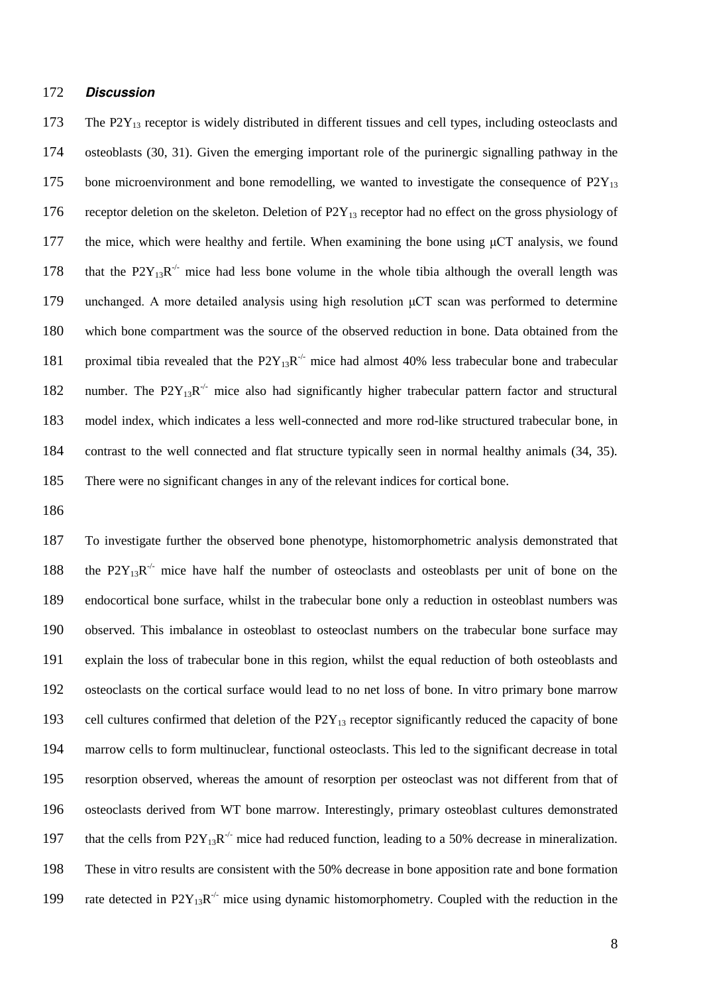#### 172 *Discussion*

173 The P2Y<sub>13</sub> receptor is widely distributed in different tissues and cell types, including osteoclasts and 174 osteoblasts (30, 31). Given the emerging important role of the purinergic signalling pathway in the 175 bone microenvironment and bone remodelling, we wanted to investigate the consequence of  $P2Y_{13}$ 176 receptor deletion on the skeleton. Deletion of  $P2Y_{13}$  receptor had no effect on the gross physiology of 177 the mice, which were healthy and fertile. When examining the bone using  $\mu$ CT analysis, we found 178 that the  $P2Y_{13}R^{-1}$  mice had less bone volume in the whole tibia although the overall length was 179 unchanged. A more detailed analysis using high resolution  $\mu$ CT scan was performed to determine 180 which bone compartment was the source of the observed reduction in bone. Data obtained from the 181 proximal tibia revealed that the  $P2Y_{13}R^{-1}$  mice had almost 40% less trabecular bone and trabecular 182 number. The  $P2Y_{13}R<sup>-/-</sup>$  mice also had significantly higher trabecular pattern factor and structural 183 model index, which indicates a less well-connected and more rod-like structured trabecular bone, in 184 contrast to the well connected and flat structure typically seen in normal healthy animals (34, 35). 185 There were no significant changes in any of the relevant indices for cortical bone.

186

To investigate further the observed bone phenotype, histomorphometric analysis demonstrated that 188 the  $P2Y_{13}R^{-1}$  mice have half the number of osteoclasts and osteoblasts per unit of bone on the endocortical bone surface, whilst in the trabecular bone only a reduction in osteoblast numbers was observed. This imbalance in osteoblast to osteoclast numbers on the trabecular bone surface may explain the loss of trabecular bone in this region, whilst the equal reduction of both osteoblasts and osteoclasts on the cortical surface would lead to no net loss of bone. In vitro primary bone marrow 193 cell cultures confirmed that deletion of the  $P2Y_{13}$  receptor significantly reduced the capacity of bone marrow cells to form multinuclear, functional osteoclasts. This led to the significant decrease in total resorption observed, whereas the amount of resorption per osteoclast was not different from that of osteoclasts derived from WT bone marrow. Interestingly, primary osteoblast cultures demonstrated 197 that the cells from  $P2Y_{13}R<sup>-/-</sup>$  mice had reduced function, leading to a 50% decrease in mineralization. These in vitro results are consistent with the 50% decrease in bone apposition rate and bone formation 199 rate detected in  $P2Y_{13}R^{-/-}$  mice using dynamic histomorphometry. Coupled with the reduction in the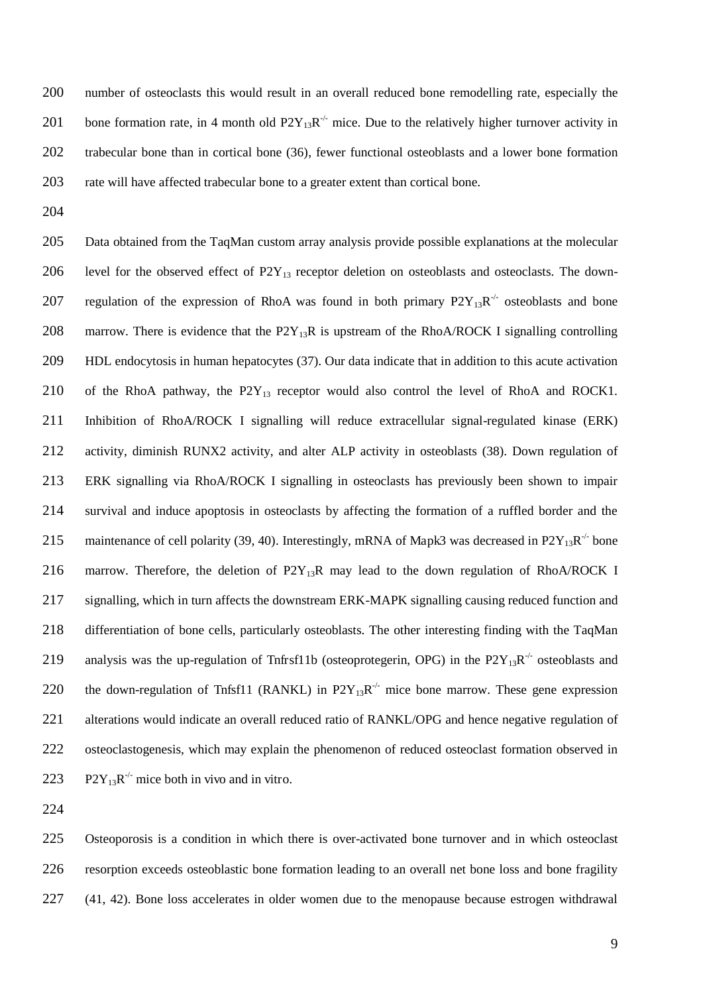number of osteoclasts this would result in an overall reduced bone remodelling rate, especially the 201 bone formation rate, in 4 month old  $P2Y_{13}R^{-1}$  mice. Due to the relatively higher turnover activity in trabecular bone than in cortical bone (36), fewer functional osteoblasts and a lower bone formation rate will have affected trabecular bone to a greater extent than cortical bone.

Data obtained from the TaqMan custom array analysis provide possible explanations at the molecular 206 level for the observed effect of  $P2Y_{13}$  receptor deletion on osteoblasts and osteoclasts. The down-207 regulation of the expression of RhoA was found in both primary  $P2Y_{13}R^{-1}$  osteoblasts and bone 208 marrow. There is evidence that the  $P2Y_{13}R$  is upstream of the RhoA/ROCK I signalling controlling HDL endocytosis in human hepatocytes (37). Our data indicate that in addition to this acute activation 210 of the RhoA pathway, the  $P2Y_{13}$  receptor would also control the level of RhoA and ROCK1. Inhibition of RhoA/ROCK I signalling will reduce extracellular signal-regulated kinase (ERK) activity, diminish RUNX2 activity, and alter ALP activity in osteoblasts (38). Down regulation of ERK signalling via RhoA/ROCK I signalling in osteoclasts has previously been shown to impair survival and induce apoptosis in osteoclasts by affecting the formation of a ruffled border and the 215 maintenance of cell polarity (39, 40). Interestingly, mRNA of Mapk3 was decreased in P2Y<sub>13</sub>R<sup>-/-</sup> bone 216 marrow. Therefore, the deletion of  $P2Y_{13}R$  may lead to the down regulation of RhoA/ROCK I signalling, which in turn affects the downstream ERK-MAPK signalling causing reduced function and differentiation of bone cells, particularly osteoblasts. The other interesting finding with the TaqMan 219 analysis was the up-regulation of Tnfrsf11b (osteoprotegerin, OPG) in the  $P2Y_{13}R^{-1}$  osteoblasts and 220 the down-regulation of Tnfsf11 (RANKL) in  $P2Y_{13}R<sup>-/-</sup>$  mice bone marrow. These gene expression alterations would indicate an overall reduced ratio of RANKL/OPG and hence negative regulation of osteoclastogenesis, which may explain the phenomenon of reduced osteoclast formation observed in 223 P2Y<sub>13</sub>R<sup>-/-</sup> mice both in vivo and in vitro.

Osteoporosis is a condition in which there is over-activated bone turnover and in which osteoclast resorption exceeds osteoblastic bone formation leading to an overall net bone loss and bone fragility (41, 42). Bone loss accelerates in older women due to the menopause because estrogen withdrawal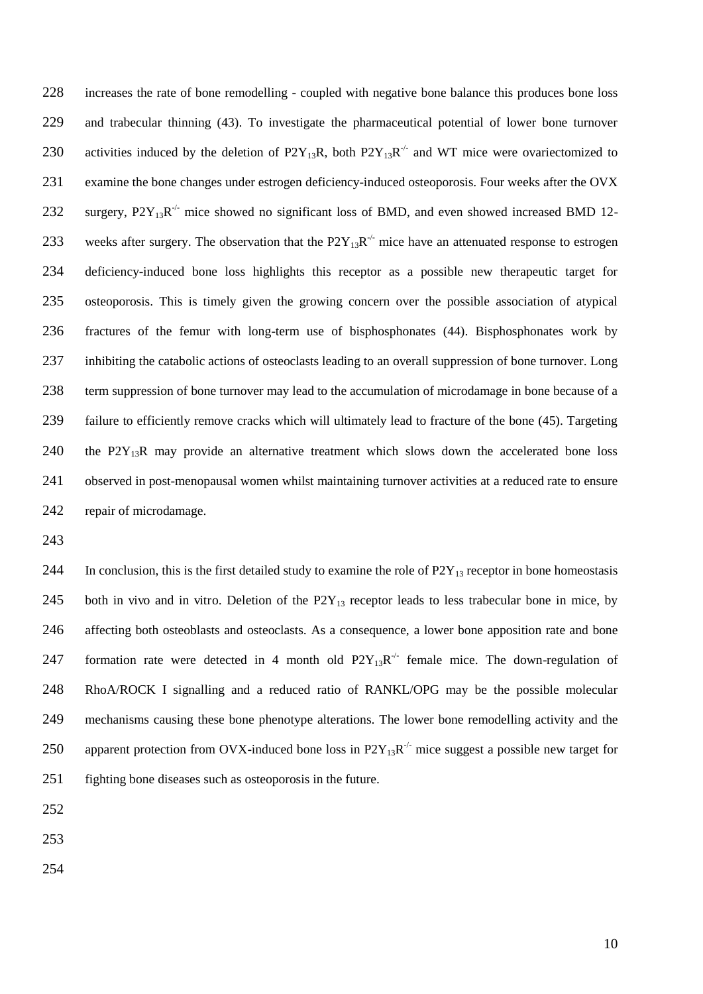increases the rate of bone remodelling - coupled with negative bone balance this produces bone loss and trabecular thinning (43). To investigate the pharmaceutical potential of lower bone turnover 230 activities induced by the deletion of P2Y<sub>13</sub>R, both P2Y<sub>13</sub>R<sup>-/-</sup> and WT mice were ovariectomized to examine the bone changes under estrogen deficiency-induced osteoporosis. Four weeks after the OVX 232 surgery,  $P2Y_{13}R^{-1}$  mice showed no significant loss of BMD, and even showed increased BMD 12-233 weeks after surgery. The observation that the  $P2Y_{13}R^{-/-}$  mice have an attenuated response to estrogen deficiency-induced bone loss highlights this receptor as a possible new therapeutic target for osteoporosis. This is timely given the growing concern over the possible association of atypical fractures of the femur with long-term use of bisphosphonates (44). Bisphosphonates work by inhibiting the catabolic actions of osteoclasts leading to an overall suppression of bone turnover. Long term suppression of bone turnover may lead to the accumulation of microdamage in bone because of a failure to efficiently remove cracks which will ultimately lead to fracture of the bone (45). Targeting 240 the P2Y<sub>13</sub>R may provide an alternative treatment which slows down the accelerated bone loss observed in post-menopausal women whilst maintaining turnover activities at a reduced rate to ensure repair of microdamage.

244 In conclusion, this is the first detailed study to examine the role of  $P2Y_{13}$  receptor in bone homeostasis 245 both in vivo and in vitro. Deletion of the  $P2Y_{13}$  receptor leads to less trabecular bone in mice, by affecting both osteoblasts and osteoclasts. As a consequence, a lower bone apposition rate and bone 247 formation rate were detected in 4 month old  $P2Y_{13}R<sup>-/-</sup>$  female mice. The down-regulation of RhoA/ROCK I signalling and a reduced ratio of RANKL/OPG may be the possible molecular mechanisms causing these bone phenotype alterations. The lower bone remodelling activity and the 250 apparent protection from OVX-induced bone loss in  $P2Y_{13}R<sup>-/-</sup>$  mice suggest a possible new target for fighting bone diseases such as osteoporosis in the future.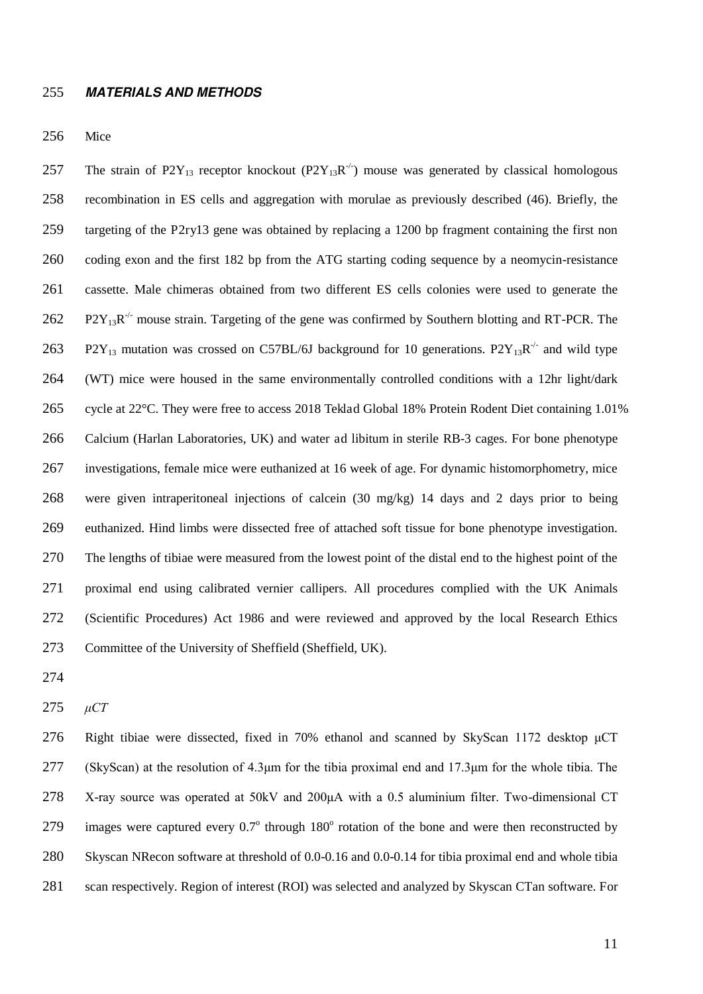#### *MATERIALS AND METHODS*

Mice

257 The strain of P2Y<sub>13</sub> receptor knockout (P2Y<sub>13</sub>R<sup>-/-</sup>) mouse was generated by classical homologous recombination in ES cells and aggregation with morulae as previously described (46). Briefly, the targeting of the P2ry13 gene was obtained by replacing a 1200 bp fragment containing the first non coding exon and the first 182 bp from the ATG starting coding sequence by a neomycin-resistance cassette. Male chimeras obtained from two different ES cells colonies were used to generate the 262 P2Y<sub>13</sub>R<sup>-/-</sup> mouse strain. Targeting of the gene was confirmed by Southern blotting and RT-PCR. The 263 P2Y<sub>13</sub> mutation was crossed on C57BL/6J background for 10 generations. P2Y<sub>13</sub>R<sup>-/-</sup> and wild type (WT) mice were housed in the same environmentally controlled conditions with a 12hr light/dark cycle at 22°C. They were free to access 2018 Teklad Global 18% Protein Rodent Diet containing 1.01% Calcium (Harlan Laboratories, UK) and water ad libitum in sterile RB-3 cages. For bone phenotype investigations, female mice were euthanized at 16 week of age. For dynamic histomorphometry, mice were given intraperitoneal injections of calcein (30 mg/kg) 14 days and 2 days prior to being euthanized. Hind limbs were dissected free of attached soft tissue for bone phenotype investigation. The lengths of tibiae were measured from the lowest point of the distal end to the highest point of the proximal end using calibrated vernier callipers. All procedures complied with the UK Animals (Scientific Procedures) Act 1986 and were reviewed and approved by the local Research Ethics Committee of the University of Sheffield (Sheffield, UK).

*たCT*

276 Right tibiae were dissected, fixed in 70% ethanol and scanned by SkyScan 1172 desktop  $\mu$ CT 277 (SkyScan) at the resolution of  $4.3\mu$ m for the tibia proximal end and 17.3 $\mu$ m for the whole tibia. The 278 X-ray source was operated at 50kV and 200 $\mu$ A with a 0.5 aluminium filter. Two-dimensional CT 279 images were captured every  $0.7^{\circ}$  through  $180^{\circ}$  rotation of the bone and were then reconstructed by Skyscan NRecon software at threshold of 0.0-0.16 and 0.0-0.14 for tibia proximal end and whole tibia scan respectively. Region of interest (ROI) was selected and analyzed by Skyscan CTan software. For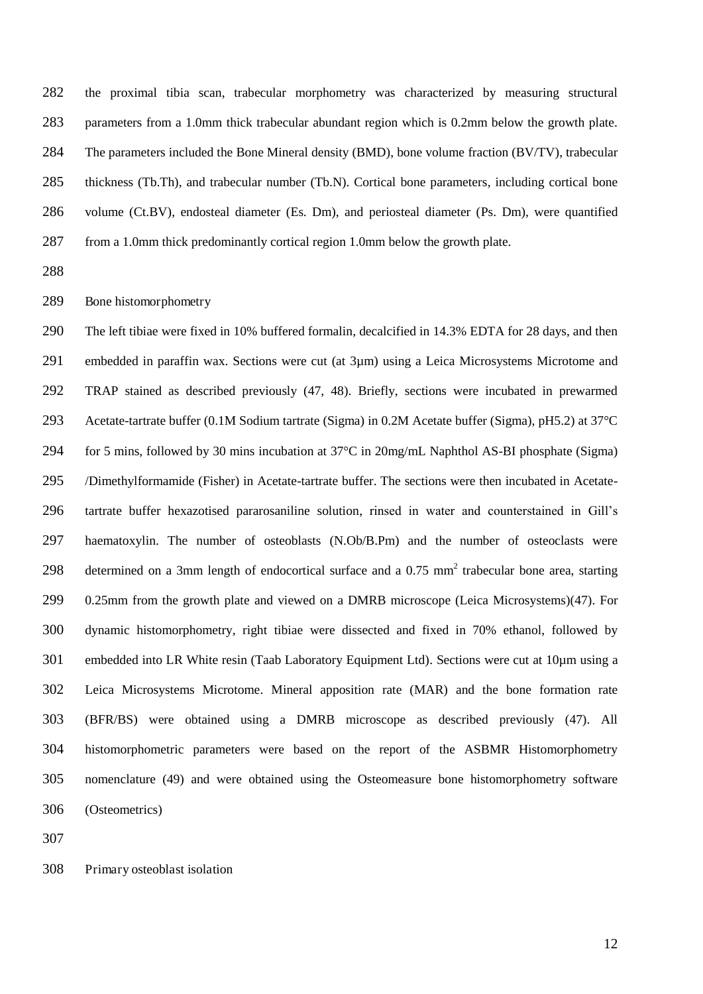the proximal tibia scan, trabecular morphometry was characterized by measuring structural parameters from a 1.0mm thick trabecular abundant region which is 0.2mm below the growth plate. 284 The parameters included the Bone Mineral density (BMD), bone volume fraction (BV/TV), trabecular thickness (Tb.Th), and trabecular number (Tb.N). Cortical bone parameters, including cortical bone volume (Ct.BV), endosteal diameter (Es. Dm), and periosteal diameter (Ps. Dm), were quantified from a 1.0mm thick predominantly cortical region 1.0mm below the growth plate.

#### Bone histomorphometry

The left tibiae were fixed in 10% buffered formalin, decalcified in 14.3% EDTA for 28 days, and then embedded in paraffin wax. Sections were cut (at 3µm) using a Leica Microsystems Microtome and TRAP stained as described previously (47, 48). Briefly, sections were incubated in prewarmed Acetate-tartrate buffer (0.1M Sodium tartrate (Sigma) in 0.2M Acetate buffer (Sigma), pH5.2) at 37°C for 5 mins, followed by 30 mins incubation at 37°C in 20mg/mL Naphthol AS-BI phosphate (Sigma) /Dimethylformamide (Fisher) in Acetate-tartrate buffer. The sections were then incubated in Acetate-tartrate buffer hexazotised pararosaniline solution, rinsed in water and counterstained in Gill's haematoxylin. The number of osteoblasts (N.Ob/B.Pm) and the number of osteoclasts were 298 determined on a 3mm length of endocortical surface and a  $0.75$  mm<sup>2</sup> trabecular bone area, starting 0.25mm from the growth plate and viewed on a DMRB microscope (Leica Microsystems)(47). For dynamic histomorphometry, right tibiae were dissected and fixed in 70% ethanol, followed by embedded into LR White resin (Taab Laboratory Equipment Ltd). Sections were cut at 10µm using a Leica Microsystems Microtome. Mineral apposition rate (MAR) and the bone formation rate (BFR/BS) were obtained using a DMRB microscope as described previously (47). All histomorphometric parameters were based on the report of the ASBMR Histomorphometry nomenclature (49) and were obtained using the Osteomeasure bone histomorphometry software (Osteometrics)

Primary osteoblast isolation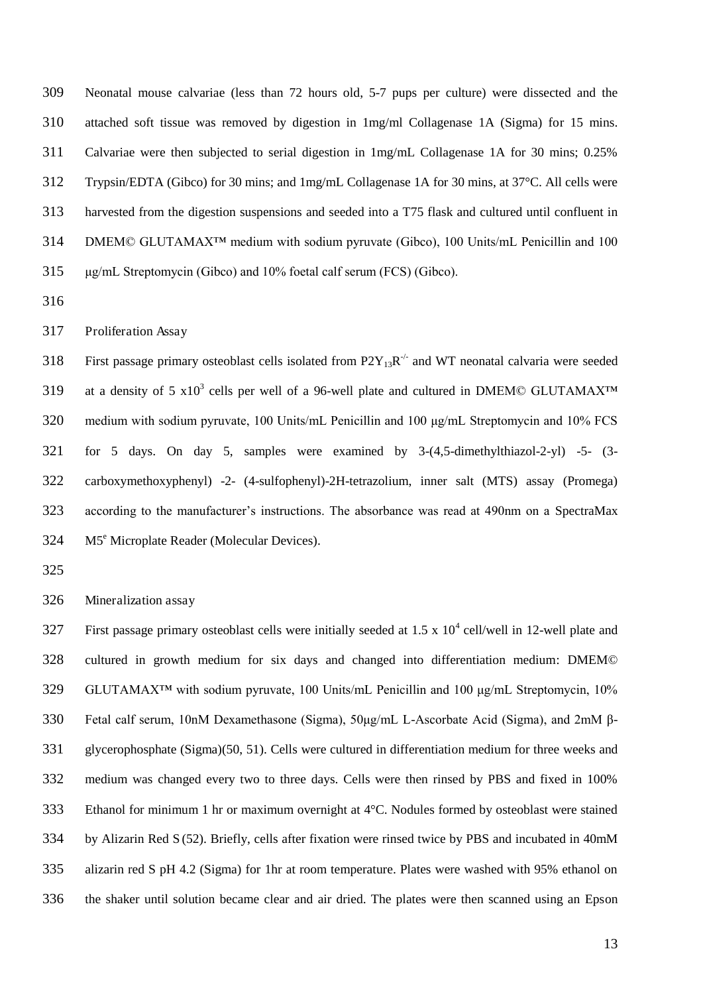Neonatal mouse calvariae (less than 72 hours old, 5-7 pups per culture) were dissected and the attached soft tissue was removed by digestion in 1mg/ml Collagenase 1A (Sigma) for 15 mins. Calvariae were then subjected to serial digestion in 1mg/mL Collagenase 1A for 30 mins; 0.25% Trypsin/EDTA (Gibco) for 30 mins; and 1mg/mL Collagenase 1A for 30 mins, at 37°C. All cells were harvested from the digestion suspensions and seeded into a T75 flask and cultured until confluent in DMEM© GLUTAMAX™ medium with sodium pyruvate (Gibco), 100 Units/mL Penicillin and 100  $315 \quad \mu$ g/mL Streptomycin (Gibco) and 10% foetal calf serum (FCS) (Gibco).

Proliferation Assay

318 First passage primary osteoblast cells isolated from  $P2Y_{13}R^{-1}$  and WT neonatal calvaria were seeded 319 at a density of 5  $x10^3$  cells per well of a 96-well plate and cultured in DMEM© GLUTAMAX<sup>™</sup> 320 medium with sodium pyruvate, 100 Units/mL Penicillin and 100  $\mu$ g/mL Streptomycin and 10% FCS for 5 days. On day 5, samples were examined by 3-(4,5-dimethylthiazol-2-yl) -5- (3- carboxymethoxyphenyl) -2- (4-sulfophenyl)-2H-tetrazolium, inner salt (MTS) assay (Promega) according to the manufacturer's instructions. The absorbance was read at 490nm on a SpectraMax 324 M5<sup>e</sup> Microplate Reader (Molecular Devices).

Mineralization assay

327 First passage primary osteoblast cells were initially seeded at 1.5 x  $10^4$  cell/well in 12-well plate and cultured in growth medium for six days and changed into differentiation medium: DMEM© 329 GLUTAMAX<sup>™</sup> with sodium pyruvate, 100 Units/mL Penicillin and 100 µg/mL Streptomycin, 10% 330 Fetal calf serum, 10nM Dexamethasone (Sigma), 50 ug/mL L-Ascorbate Acid (Sigma), and 2mM  $\beta$ -glycerophosphate (Sigma)(50, 51). Cells were cultured in differentiation medium for three weeks and medium was changed every two to three days. Cells were then rinsed by PBS and fixed in 100% Ethanol for minimum 1 hr or maximum overnight at 4°C. Nodules formed by osteoblast were stained by Alizarin Red S (52). Briefly, cells after fixation were rinsed twice by PBS and incubated in 40mM alizarin red S pH 4.2 (Sigma) for 1hr at room temperature. Plates were washed with 95% ethanol on the shaker until solution became clear and air dried. The plates were then scanned using an Epson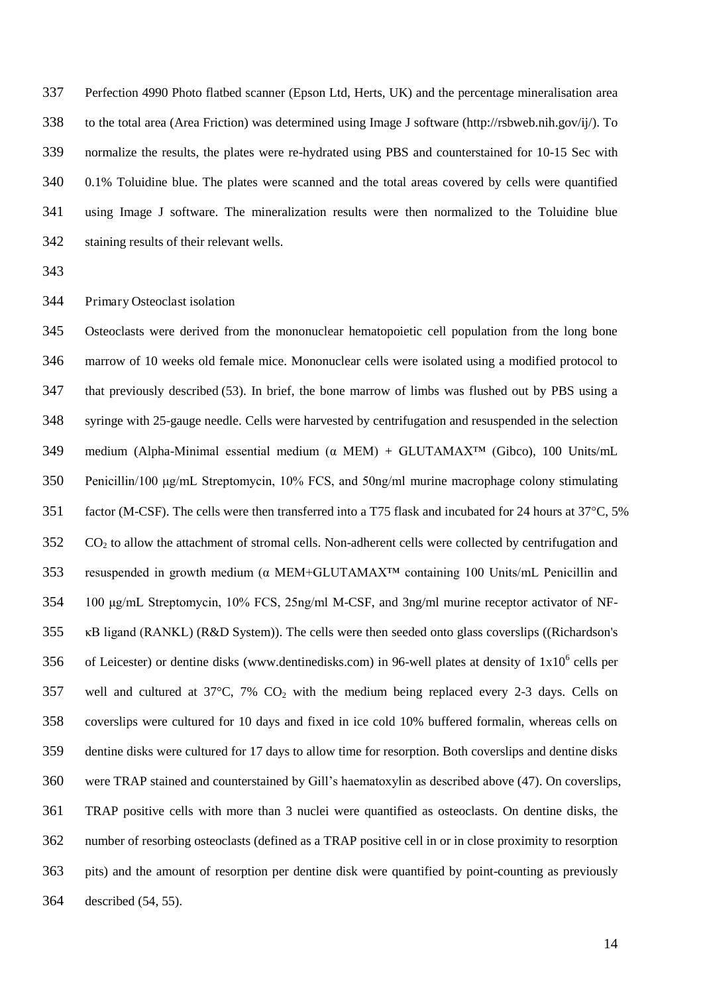Perfection 4990 Photo flatbed scanner (Epson Ltd, Herts, UK) and the percentage mineralisation area to the total area (Area Friction) was determined using Image J software (http://rsbweb.nih.gov/ij/). To normalize the results, the plates were re-hydrated using PBS and counterstained for 10-15 Sec with 0.1% Toluidine blue. The plates were scanned and the total areas covered by cells were quantified using Image J software. The mineralization results were then normalized to the Toluidine blue staining results of their relevant wells.

Primary Osteoclast isolation

Osteoclasts were derived from the mononuclear hematopoietic cell population from the long bone marrow of 10 weeks old female mice. Mononuclear cells were isolated using a modified protocol to that previously described (53). In brief, the bone marrow of limbs was flushed out by PBS using a syringe with 25-gauge needle. Cells were harvested by centrifugation and resuspended in the selection 349 medium (Alpha-Minimal essential medium  $(\alpha \text{ MEM}) + \text{GLUTAMAX}$  (Gibco), 100 Units/mL 350 Penicillin/100  $\mu$ g/mL Streptomycin, 10% FCS, and 50ng/ml murine macrophage colony stimulating 351 factor (M-CSF). The cells were then transferred into a T75 flask and incubated for 24 hours at 37°C, 5% CO<sub>2</sub> to allow the attachment of stromal cells. Non-adherent cells were collected by centrifugation and 353 resuspended in growth medium ( $\alpha$  MEM+GLUTAMAX<sup>TM</sup> containing 100 Units/mL Penicillin and 354 100  $\mu$ g/mL Streptomycin, 10% FCS, 25ng/ml M-CSF, and 3ng/ml murine receptor activator of NF-**EXAMED (RANKL) (R&D System)). The cells were then seeded onto glass coverslips ((Richardson's**) 356 of Leicester) or dentine disks (www.dentinedisks.com) in 96-well plates at density of  $1x10^6$  cells per 357 well and cultured at  $37^{\circ}$ C, 7% CO<sub>2</sub> with the medium being replaced every 2-3 days. Cells on coverslips were cultured for 10 days and fixed in ice cold 10% buffered formalin, whereas cells on dentine disks were cultured for 17 days to allow time for resorption. Both coverslips and dentine disks were TRAP stained and counterstained by Gill's haematoxylin as described above (47). On coverslips, TRAP positive cells with more than 3 nuclei were quantified as osteoclasts. On dentine disks, the number of resorbing osteoclasts (defined as a TRAP positive cell in or in close proximity to resorption pits) and the amount of resorption per dentine disk were quantified by point-counting as previously described (54, 55).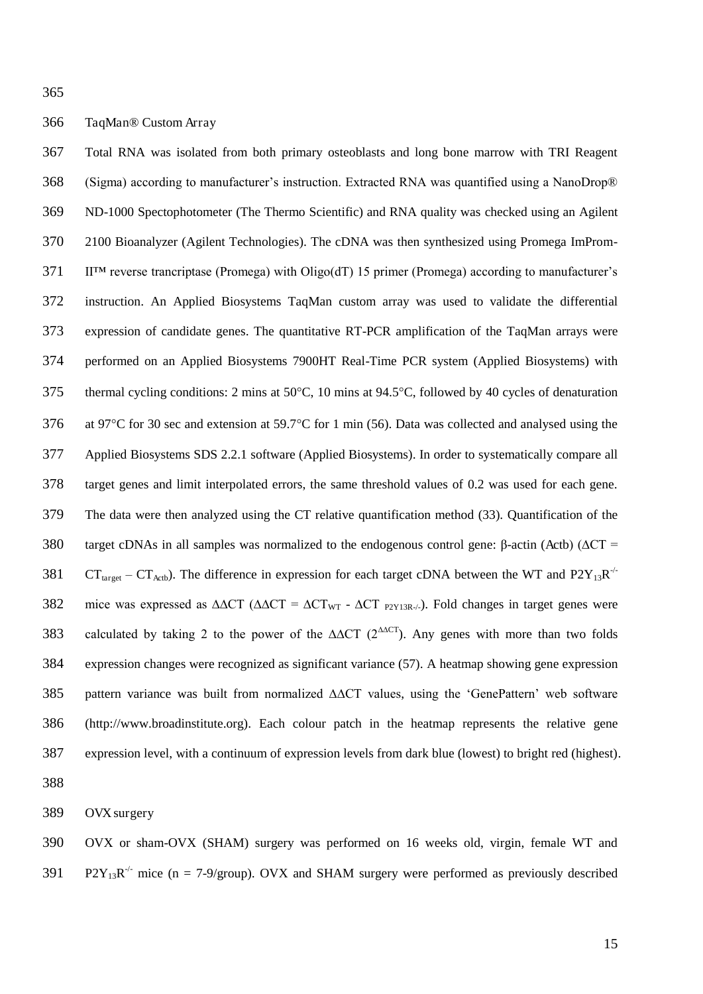#### TaqMan® Custom Array

Total RNA was isolated from both primary osteoblasts and long bone marrow with TRI Reagent (Sigma) according to manufacturer's instruction. Extracted RNA was quantified using a NanoDrop® ND-1000 Spectophotometer (The Thermo Scientific) and RNA quality was checked using an Agilent 2100 Bioanalyzer (Agilent Technologies). The cDNA was then synthesized using Promega ImProm-II™ reverse trancriptase (Promega) with Oligo(dT) 15 primer (Promega) according to manufacturer's instruction. An Applied Biosystems TaqMan custom array was used to validate the differential expression of candidate genes. The quantitative RT-PCR amplification of the TaqMan arrays were performed on an Applied Biosystems 7900HT Real-Time PCR system (Applied Biosystems) with 375 thermal cycling conditions: 2 mins at  $50^{\circ}$ C, 10 mins at 94.5 $^{\circ}$ C, followed by 40 cycles of denaturation 376 at 97<sup>o</sup>C for 30 sec and extension at 59.7<sup>o</sup>C for 1 min (56). Data was collected and analysed using the Applied Biosystems SDS 2.2.1 software (Applied Biosystems). In order to systematically compare all target genes and limit interpolated errors, the same threshold values of 0.2 was used for each gene. The data were then analyzed using the CT relative quantification method (33). Quantification of the 380 target cDNAs in all samples was normalized to the endogenous control gene:  $\beta$ -actin (Actb) ( $\Delta CT =$ 381 CT<sub>target</sub> – CT<sub>Actb</sub>). The difference in expression for each target cDNA between the WT and P2Y<sub>13</sub>R<sup>-/-</sup> 382 mice was expressed as  $\Delta \Delta CT$  ( $\Delta \Delta CT = \Delta CT_{WT}$  -  $\Delta CT$   $_{P(Y|3R-/-)}$ ). Fold changes in target genes were 383 calculated by taking 2 to the power of the  $\Delta \Delta CT$  (2<sup> $\Delta \Delta CT$ </sup>). Any genes with more than two folds expression changes were recognized as significant variance (57). A heatmap showing gene expression pattern variance was built from normalized ∆∆CT values, using the 'GenePattern' web software (http://www.broadinstitute.org). Each colour patch in the heatmap represents the relative gene expression level, with a continuum of expression levels from dark blue (lowest) to bright red (highest).

OVX surgery

OVX or sham-OVX (SHAM) surgery was performed on 16 weeks old, virgin, female WT and 391 P2Y<sub>13</sub>R<sup>-/-</sup> mice (n = 7-9/group). OVX and SHAM surgery were performed as previously described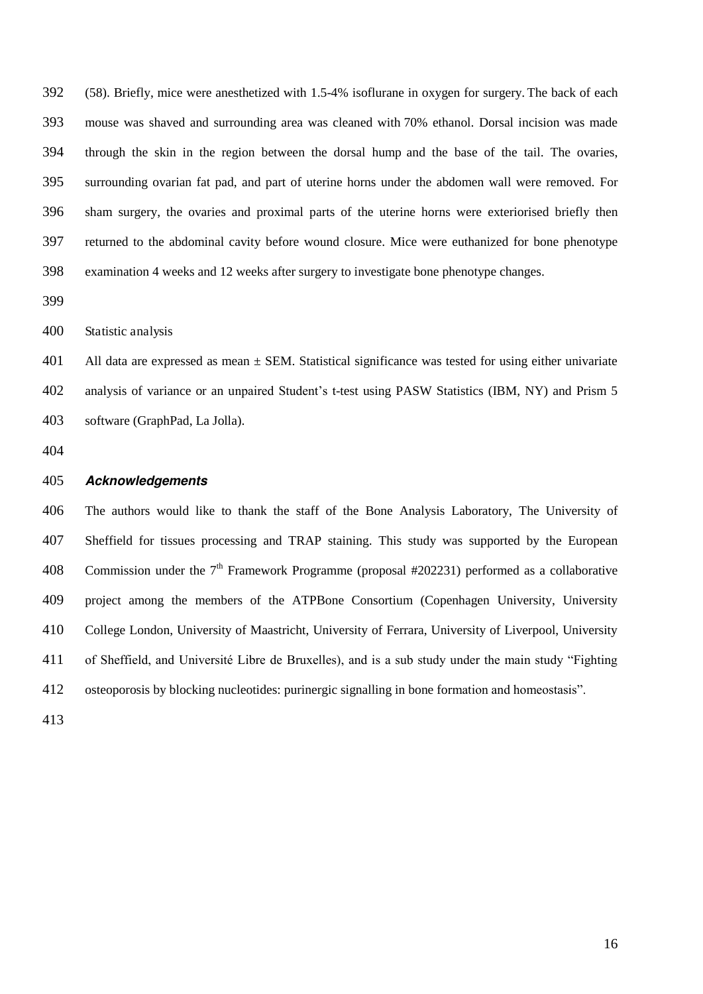(58). Briefly, mice were anesthetized with 1.5-4% isoflurane in oxygen for surgery. The back of each mouse was shaved and surrounding area was cleaned with 70% ethanol. Dorsal incision was made through the skin in the region between the dorsal hump and the base of the tail. The ovaries, surrounding ovarian fat pad, and part of uterine horns under the abdomen wall were removed. For sham surgery, the ovaries and proximal parts of the uterine horns were exteriorised briefly then returned to the abdominal cavity before wound closure. Mice were euthanized for bone phenotype examination 4 weeks and 12 weeks after surgery to investigate bone phenotype changes.

Statistic analysis

401 All data are expressed as mean  $\pm$  SEM. Statistical significance was tested for using either univariate analysis of variance or an unpaired Student's t-test using PASW Statistics (IBM, NY) and Prism 5 software (GraphPad, La Jolla).

#### *Acknowledgements*

The authors would like to thank the staff of the Bone Analysis Laboratory, The University of Sheffield for tissues processing and TRAP staining. This study was supported by the European 408 Commission under the  $7<sup>th</sup>$  Framework Programme (proposal #202231) performed as a collaborative project among the members of the ATPBone Consortium (Copenhagen University, University College London, University of Maastricht, University of Ferrara, University of Liverpool, University of Sheffield, and Université Libre de Bruxelles), and is a sub study under the main study "Fighting osteoporosis by blocking nucleotides: purinergic signalling in bone formation and homeostasis".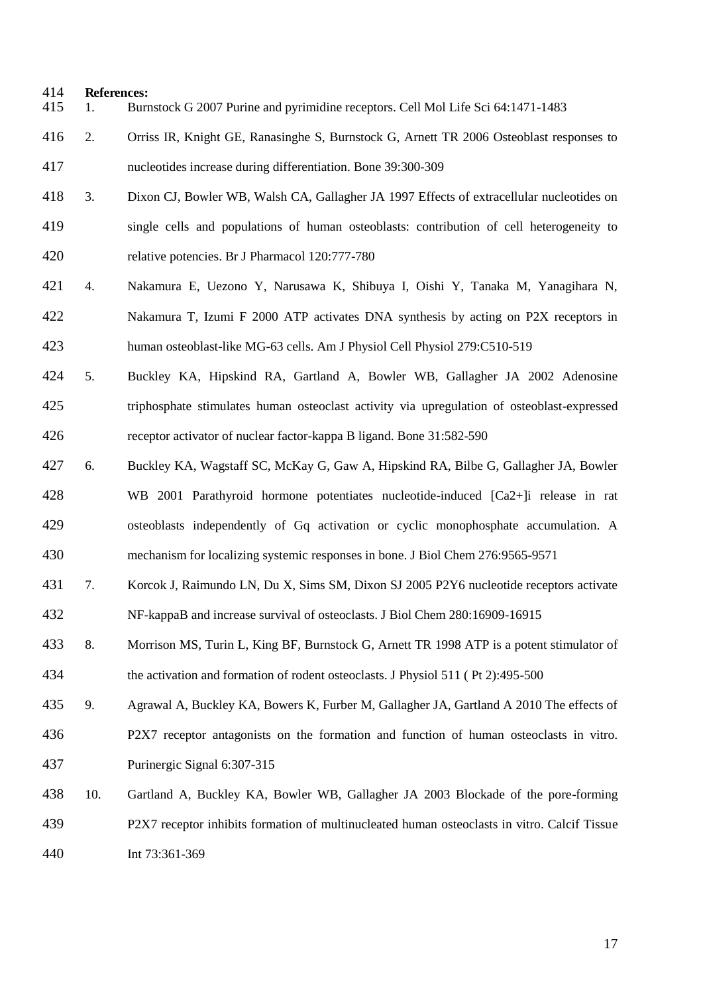# **References:**

- 1. Burnstock G 2007 Purine and pyrimidine receptors. Cell Mol Life Sci 64:1471-1483
- 2. Orriss IR, Knight GE, Ranasinghe S, Burnstock G, Arnett TR 2006 Osteoblast responses to nucleotides increase during differentiation. Bone 39:300-309
- 3. Dixon CJ, Bowler WB, Walsh CA, Gallagher JA 1997 Effects of extracellular nucleotides on single cells and populations of human osteoblasts: contribution of cell heterogeneity to relative potencies. Br J Pharmacol 120:777-780
- 4. Nakamura E, Uezono Y, Narusawa K, Shibuya I, Oishi Y, Tanaka M, Yanagihara N, Nakamura T, Izumi F 2000 ATP activates DNA synthesis by acting on P2X receptors in human osteoblast-like MG-63 cells. Am J Physiol Cell Physiol 279:C510-519
- 5. Buckley KA, Hipskind RA, Gartland A, Bowler WB, Gallagher JA 2002 Adenosine triphosphate stimulates human osteoclast activity via upregulation of osteoblast-expressed receptor activator of nuclear factor-kappa B ligand. Bone 31:582-590
- 6. Buckley KA, Wagstaff SC, McKay G, Gaw A, Hipskind RA, Bilbe G, Gallagher JA, Bowler WB 2001 Parathyroid hormone potentiates nucleotide-induced [Ca2+]i release in rat osteoblasts independently of Gq activation or cyclic monophosphate accumulation. A mechanism for localizing systemic responses in bone. J Biol Chem 276:9565-9571
- 7. Korcok J, Raimundo LN, Du X, Sims SM, Dixon SJ 2005 P2Y6 nucleotide receptors activate NF-kappaB and increase survival of osteoclasts. J Biol Chem 280:16909-16915
- 8. Morrison MS, Turin L, King BF, Burnstock G, Arnett TR 1998 ATP is a potent stimulator of the activation and formation of rodent osteoclasts. J Physiol 511 ( Pt 2):495-500

9. Agrawal A, Buckley KA, Bowers K, Furber M, Gallagher JA, Gartland A 2010 The effects of P2X7 receptor antagonists on the formation and function of human osteoclasts in vitro. Purinergic Signal 6:307-315

10. Gartland A, Buckley KA, Bowler WB, Gallagher JA 2003 Blockade of the pore-forming P2X7 receptor inhibits formation of multinucleated human osteoclasts in vitro. Calcif Tissue Int 73:361-369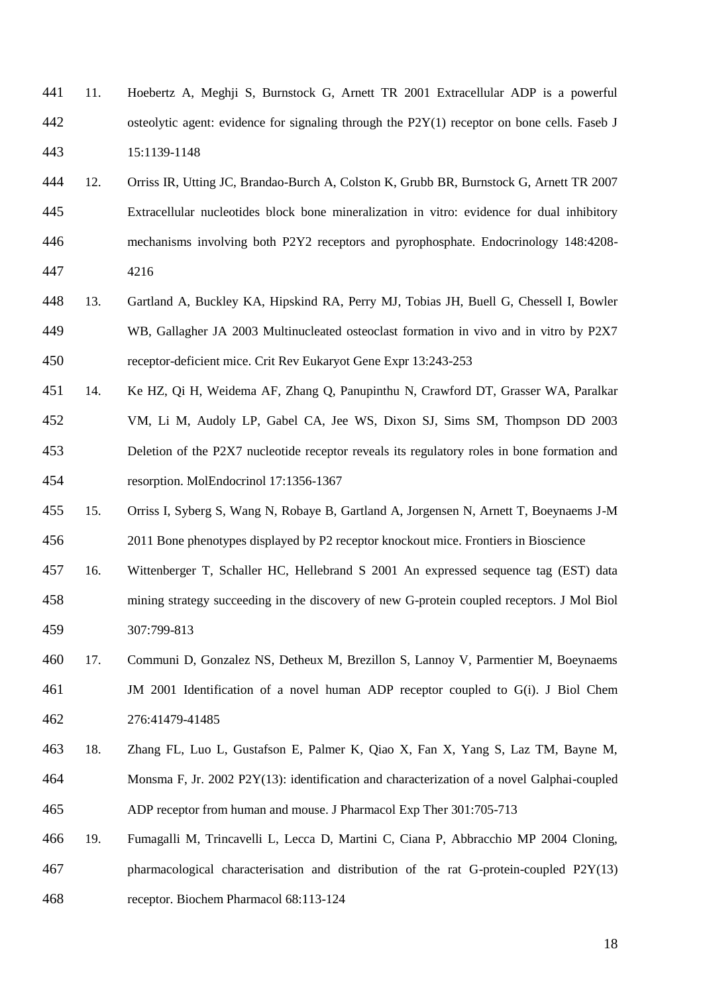- 11. Hoebertz A, Meghji S, Burnstock G, Arnett TR 2001 Extracellular ADP is a powerful osteolytic agent: evidence for signaling through the P2Y(1) receptor on bone cells. Faseb J 15:1139-1148
- 12. Orriss IR, Utting JC, Brandao-Burch A, Colston K, Grubb BR, Burnstock G, Arnett TR 2007 Extracellular nucleotides block bone mineralization in vitro: evidence for dual inhibitory mechanisms involving both P2Y2 receptors and pyrophosphate. Endocrinology 148:4208- 4216
- 13. Gartland A, Buckley KA, Hipskind RA, Perry MJ, Tobias JH, Buell G, Chessell I, Bowler WB, Gallagher JA 2003 Multinucleated osteoclast formation in vivo and in vitro by P2X7 receptor-deficient mice. Crit Rev Eukaryot Gene Expr 13:243-253
- 14. Ke HZ, Qi H, Weidema AF, Zhang Q, Panupinthu N, Crawford DT, Grasser WA, Paralkar VM, Li M, Audoly LP, Gabel CA, Jee WS, Dixon SJ, Sims SM, Thompson DD 2003 Deletion of the P2X7 nucleotide receptor reveals its regulatory roles in bone formation and resorption. MolEndocrinol 17:1356-1367
- 15. Orriss I, Syberg S, Wang N, Robaye B, Gartland A, Jorgensen N, Arnett T, Boeynaems J-M 2011 Bone phenotypes displayed by P2 receptor knockout mice. Frontiers in Bioscience
- 16. Wittenberger T, Schaller HC, Hellebrand S 2001 An expressed sequence tag (EST) data mining strategy succeeding in the discovery of new G-protein coupled receptors. J Mol Biol 307:799-813
- 17. Communi D, Gonzalez NS, Detheux M, Brezillon S, Lannoy V, Parmentier M, Boeynaems JM 2001 Identification of a novel human ADP receptor coupled to G(i). J Biol Chem 276:41479-41485
- 18. Zhang FL, Luo L, Gustafson E, Palmer K, Qiao X, Fan X, Yang S, Laz TM, Bayne M, Monsma F, Jr. 2002 P2Y(13): identification and characterization of a novel Galphai-coupled ADP receptor from human and mouse. J Pharmacol Exp Ther 301:705-713
- 19. Fumagalli M, Trincavelli L, Lecca D, Martini C, Ciana P, Abbracchio MP 2004 Cloning, pharmacological characterisation and distribution of the rat G-protein-coupled P2Y(13) receptor. Biochem Pharmacol 68:113-124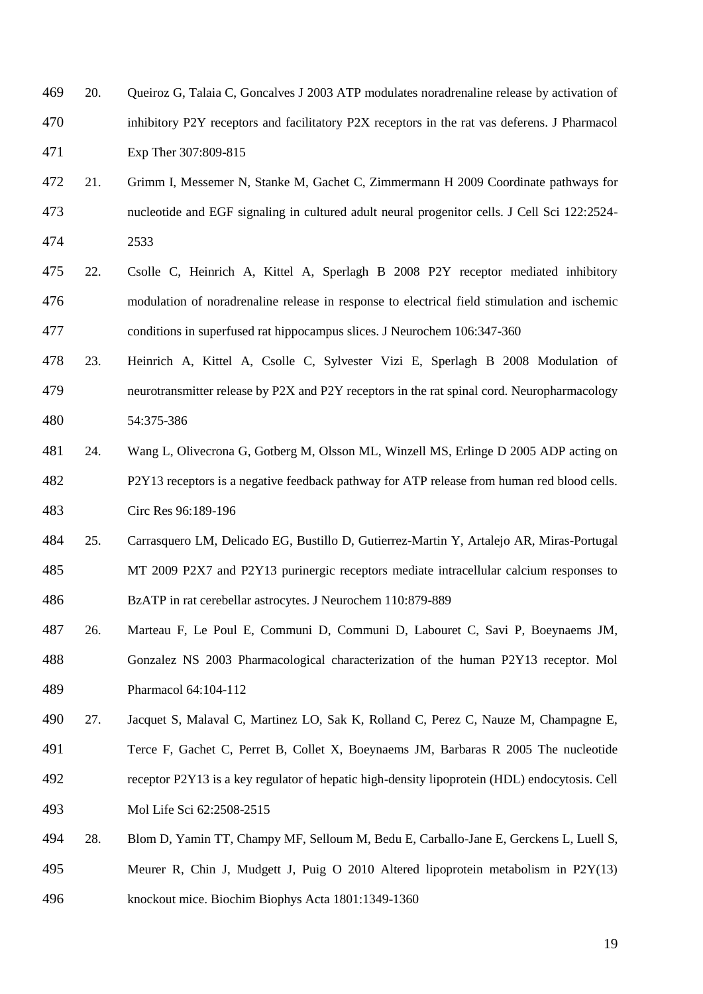- 20. Queiroz G, Talaia C, Goncalves J 2003 ATP modulates noradrenaline release by activation of inhibitory P2Y receptors and facilitatory P2X receptors in the rat vas deferens. J Pharmacol Exp Ther 307:809-815
- 21. Grimm I, Messemer N, Stanke M, Gachet C, Zimmermann H 2009 Coordinate pathways for nucleotide and EGF signaling in cultured adult neural progenitor cells. J Cell Sci 122:2524- 2533
- 22. Csolle C, Heinrich A, Kittel A, Sperlagh B 2008 P2Y receptor mediated inhibitory modulation of noradrenaline release in response to electrical field stimulation and ischemic conditions in superfused rat hippocampus slices. J Neurochem 106:347-360
- 23. Heinrich A, Kittel A, Csolle C, Sylvester Vizi E, Sperlagh B 2008 Modulation of neurotransmitter release by P2X and P2Y receptors in the rat spinal cord. Neuropharmacology 54:375-386
- 24. Wang L, Olivecrona G, Gotberg M, Olsson ML, Winzell MS, Erlinge D 2005 ADP acting on P2Y13 receptors is a negative feedback pathway for ATP release from human red blood cells. Circ Res 96:189-196
- 25. Carrasquero LM, Delicado EG, Bustillo D, Gutierrez-Martin Y, Artalejo AR, Miras-Portugal MT 2009 P2X7 and P2Y13 purinergic receptors mediate intracellular calcium responses to BzATP in rat cerebellar astrocytes. J Neurochem 110:879-889
- 26. Marteau F, Le Poul E, Communi D, Communi D, Labouret C, Savi P, Boeynaems JM, Gonzalez NS 2003 Pharmacological characterization of the human P2Y13 receptor. Mol Pharmacol 64:104-112
- 27. Jacquet S, Malaval C, Martinez LO, Sak K, Rolland C, Perez C, Nauze M, Champagne E, Terce F, Gachet C, Perret B, Collet X, Boeynaems JM, Barbaras R 2005 The nucleotide
- receptor P2Y13 is a key regulator of hepatic high-density lipoprotein (HDL) endocytosis. Cell Mol Life Sci 62:2508-2515
- 28. Blom D, Yamin TT, Champy MF, Selloum M, Bedu E, Carballo-Jane E, Gerckens L, Luell S, Meurer R, Chin J, Mudgett J, Puig O 2010 Altered lipoprotein metabolism in P2Y(13) knockout mice. Biochim Biophys Acta 1801:1349-1360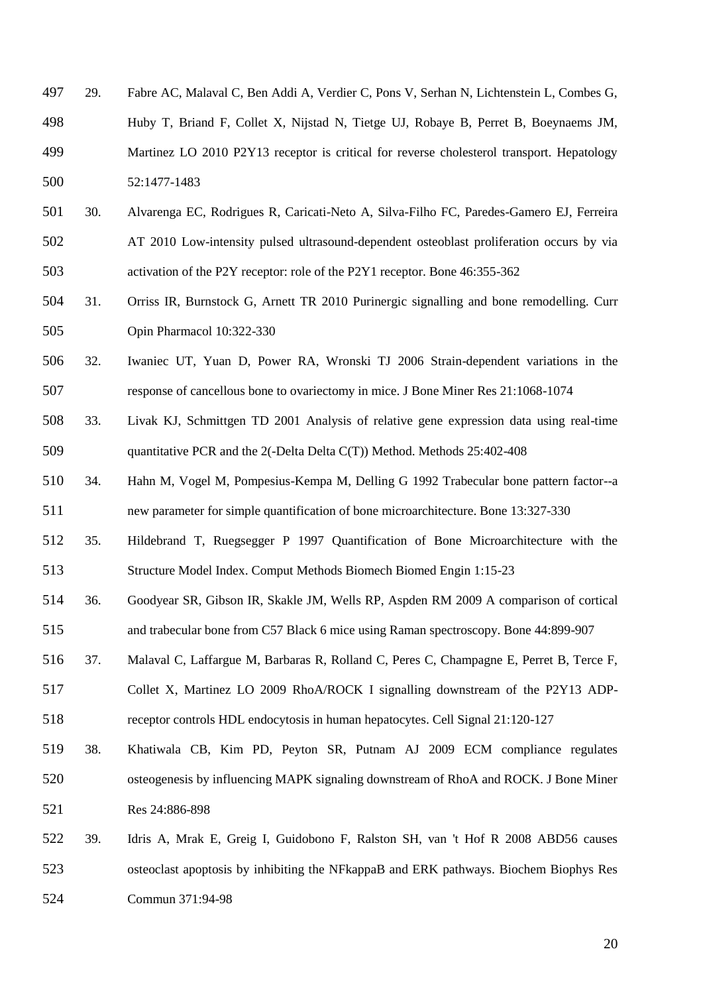- 29. Fabre AC, Malaval C, Ben Addi A, Verdier C, Pons V, Serhan N, Lichtenstein L, Combes G, Huby T, Briand F, Collet X, Nijstad N, Tietge UJ, Robaye B, Perret B, Boeynaems JM, Martinez LO 2010 P2Y13 receptor is critical for reverse cholesterol transport. Hepatology 52:1477-1483
- 30. Alvarenga EC, Rodrigues R, Caricati-Neto A, Silva-Filho FC, Paredes-Gamero EJ, Ferreira AT 2010 Low-intensity pulsed ultrasound-dependent osteoblast proliferation occurs by via activation of the P2Y receptor: role of the P2Y1 receptor. Bone 46:355-362
- 31. Orriss IR, Burnstock G, Arnett TR 2010 Purinergic signalling and bone remodelling. Curr Opin Pharmacol 10:322-330
- 32. Iwaniec UT, Yuan D, Power RA, Wronski TJ 2006 Strain-dependent variations in the response of cancellous bone to ovariectomy in mice. J Bone Miner Res 21:1068-1074
- 33. Livak KJ, Schmittgen TD 2001 Analysis of relative gene expression data using real-time quantitative PCR and the 2(-Delta Delta C(T)) Method. Methods 25:402-408
- 34. Hahn M, Vogel M, Pompesius-Kempa M, Delling G 1992 Trabecular bone pattern factor--a new parameter for simple quantification of bone microarchitecture. Bone 13:327-330
- 35. Hildebrand T, Ruegsegger P 1997 Quantification of Bone Microarchitecture with the Structure Model Index. Comput Methods Biomech Biomed Engin 1:15-23
- 36. Goodyear SR, Gibson IR, Skakle JM, Wells RP, Aspden RM 2009 A comparison of cortical and trabecular bone from C57 Black 6 mice using Raman spectroscopy. Bone 44:899-907
- 37. Malaval C, Laffargue M, Barbaras R, Rolland C, Peres C, Champagne E, Perret B, Terce F, Collet X, Martinez LO 2009 RhoA/ROCK I signalling downstream of the P2Y13 ADP-receptor controls HDL endocytosis in human hepatocytes. Cell Signal 21:120-127
- 38. Khatiwala CB, Kim PD, Peyton SR, Putnam AJ 2009 ECM compliance regulates osteogenesis by influencing MAPK signaling downstream of RhoA and ROCK. J Bone Miner Res 24:886-898
- 39. Idris A, Mrak E, Greig I, Guidobono F, Ralston SH, van 't Hof R 2008 ABD56 causes osteoclast apoptosis by inhibiting the NFkappaB and ERK pathways. Biochem Biophys Res Commun 371:94-98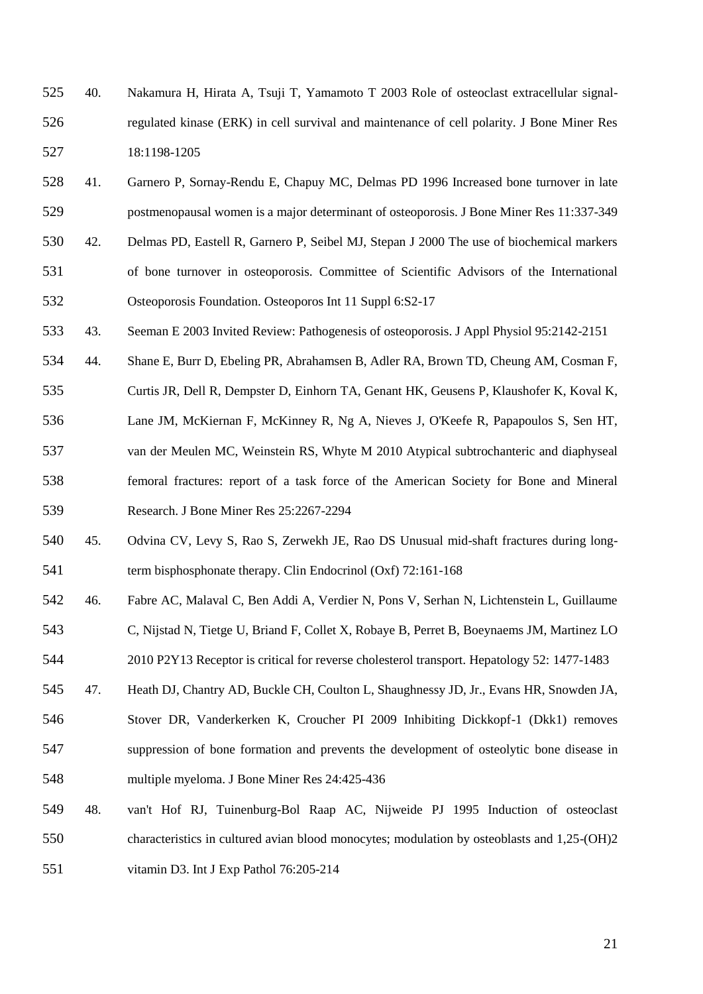- 40. Nakamura H, Hirata A, Tsuji T, Yamamoto T 2003 Role of osteoclast extracellular signal-regulated kinase (ERK) in cell survival and maintenance of cell polarity. J Bone Miner Res 18:1198-1205
- 41. Garnero P, Sornay-Rendu E, Chapuy MC, Delmas PD 1996 Increased bone turnover in late postmenopausal women is a major determinant of osteoporosis. J Bone Miner Res 11:337-349
- 42. Delmas PD, Eastell R, Garnero P, Seibel MJ, Stepan J 2000 The use of biochemical markers of bone turnover in osteoporosis. Committee of Scientific Advisors of the International Osteoporosis Foundation. Osteoporos Int 11 Suppl 6:S2-17
- 43. Seeman E 2003 Invited Review: Pathogenesis of osteoporosis. J Appl Physiol 95:2142-2151
- 44. Shane E, Burr D, Ebeling PR, Abrahamsen B, Adler RA, Brown TD, Cheung AM, Cosman F,
- Curtis JR, Dell R, Dempster D, Einhorn TA, Genant HK, Geusens P, Klaushofer K, Koval K, Lane JM, McKiernan F, McKinney R, Ng A, Nieves J, O'Keefe R, Papapoulos S, Sen HT, van der Meulen MC, Weinstein RS, Whyte M 2010 Atypical subtrochanteric and diaphyseal femoral fractures: report of a task force of the American Society for Bone and Mineral Research. J Bone Miner Res 25:2267-2294
- 45. Odvina CV, Levy S, Rao S, Zerwekh JE, Rao DS Unusual mid-shaft fractures during long-541 term bisphosphonate therapy. Clin Endocrinol (Oxf) 72:161-168
- 46. Fabre AC, Malaval C, Ben Addi A, Verdier N, Pons V, Serhan N, Lichtenstein L, Guillaume C, Nijstad N, Tietge U, Briand F, Collet X, Robaye B, Perret B, Boeynaems JM, Martinez LO
- 2010 P2Y13 Receptor is critical for reverse cholesterol transport. Hepatology 52: 1477-1483
- 47. Heath DJ, Chantry AD, Buckle CH, Coulton L, Shaughnessy JD, Jr., Evans HR, Snowden JA, Stover DR, Vanderkerken K, Croucher PI 2009 Inhibiting Dickkopf-1 (Dkk1) removes suppression of bone formation and prevents the development of osteolytic bone disease in multiple myeloma. J Bone Miner Res 24:425-436
- 48. van't Hof RJ, Tuinenburg-Bol Raap AC, Nijweide PJ 1995 Induction of osteoclast characteristics in cultured avian blood monocytes; modulation by osteoblasts and 1,25-(OH)2 vitamin D3. Int J Exp Pathol 76:205-214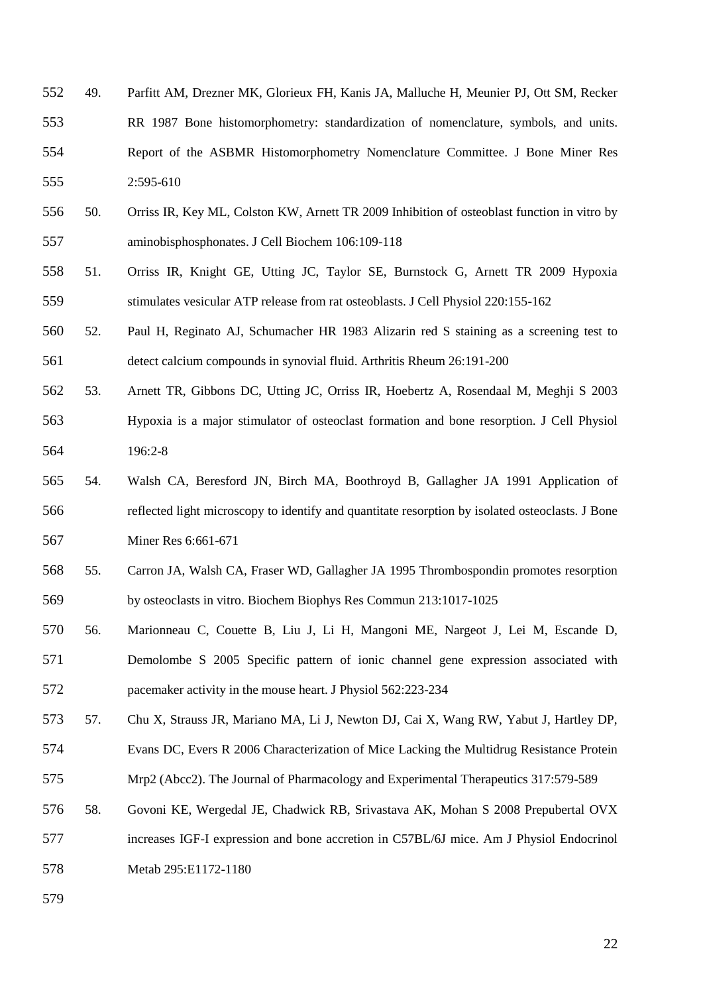- 49. Parfitt AM, Drezner MK, Glorieux FH, Kanis JA, Malluche H, Meunier PJ, Ott SM, Recker RR 1987 Bone histomorphometry: standardization of nomenclature, symbols, and units. Report of the ASBMR Histomorphometry Nomenclature Committee. J Bone Miner Res 2:595-610
- 50. Orriss IR, Key ML, Colston KW, Arnett TR 2009 Inhibition of osteoblast function in vitro by aminobisphosphonates. J Cell Biochem 106:109-118
- 51. Orriss IR, Knight GE, Utting JC, Taylor SE, Burnstock G, Arnett TR 2009 Hypoxia stimulates vesicular ATP release from rat osteoblasts. J Cell Physiol 220:155-162
- 52. Paul H, Reginato AJ, Schumacher HR 1983 Alizarin red S staining as a screening test to detect calcium compounds in synovial fluid. Arthritis Rheum 26:191-200
- 53. Arnett TR, Gibbons DC, Utting JC, Orriss IR, Hoebertz A, Rosendaal M, Meghji S 2003 Hypoxia is a major stimulator of osteoclast formation and bone resorption. J Cell Physiol 196:2-8
- 54. Walsh CA, Beresford JN, Birch MA, Boothroyd B, Gallagher JA 1991 Application of reflected light microscopy to identify and quantitate resorption by isolated osteoclasts. J Bone Miner Res 6:661-671
- 55. Carron JA, Walsh CA, Fraser WD, Gallagher JA 1995 Thrombospondin promotes resorption by osteoclasts in vitro. Biochem Biophys Res Commun 213:1017-1025
- 56. Marionneau C, Couette B, Liu J, Li H, Mangoni ME, Nargeot J, Lei M, Escande D, Demolombe S 2005 Specific pattern of ionic channel gene expression associated with pacemaker activity in the mouse heart. J Physiol 562:223-234
- 57. Chu X, Strauss JR, Mariano MA, Li J, Newton DJ, Cai X, Wang RW, Yabut J, Hartley DP,
- Evans DC, Evers R 2006 Characterization of Mice Lacking the Multidrug Resistance Protein
- Mrp2 (Abcc2). The Journal of Pharmacology and Experimental Therapeutics 317:579-589
- 58. Govoni KE, Wergedal JE, Chadwick RB, Srivastava AK, Mohan S 2008 Prepubertal OVX increases IGF-I expression and bone accretion in C57BL/6J mice. Am J Physiol Endocrinol

Metab 295:E1172-1180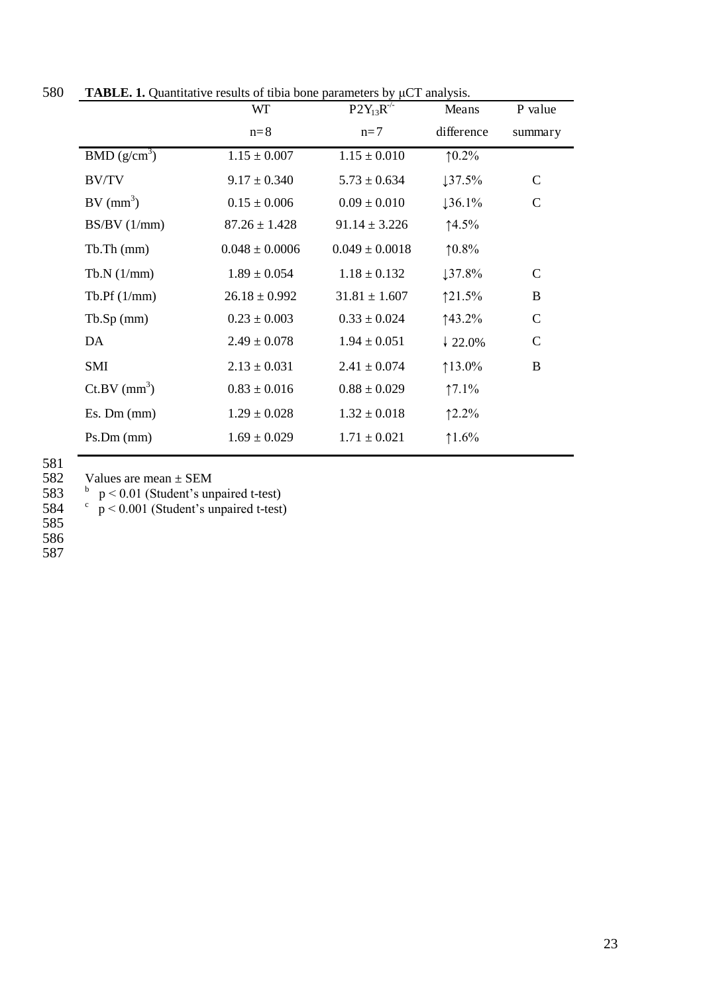| 580 | <b>TABLE. 1.</b> Quantitative results of tibia bone parameters by $\mu$ CT analysis. |                                                     |       |
|-----|--------------------------------------------------------------------------------------|-----------------------------------------------------|-------|
|     |                                                                                      | $\mathbf{D}\mathbf{O}\mathbf{V}$ $\mathbf{D}^{-/-}$ | Means |

| WГ                 | $P2Y_{13}R^{-1}$   | Means              | P value      |
|--------------------|--------------------|--------------------|--------------|
| $n=8$              | $n=7$              | difference         | summary      |
| $1.15 \pm 0.007$   | $1.15 \pm 0.010$   | $10.2\%$           |              |
| $9.17 \pm 0.340$   | $5.73 \pm 0.634$   | 137.5%             | $\mathbf C$  |
| $0.15 \pm 0.006$   | $0.09 \pm 0.010$   | $136.1\%$          | $\mathbf C$  |
| $87.26 \pm 1.428$  | $91.14 \pm 3.226$  | ↑4.5%              |              |
| $0.048 \pm 0.0006$ | $0.049 \pm 0.0018$ | $10.8\%$           |              |
| $1.89 \pm 0.054$   | $1.18 \pm 0.132$   | 137.8%             | $\mathbf C$  |
| $26.18 \pm 0.992$  | $31.81 \pm 1.607$  | 121.5%             | $\bf{B}$     |
| $0.23 \pm 0.003$   | $0.33 \pm 0.024$   | $143.2\%$          | $\mathsf{C}$ |
| $2.49 \pm 0.078$   | $1.94 \pm 0.051$   | $\frac{1}{22.0\%}$ | C            |
| $2.13 \pm 0.031$   | $2.41 \pm 0.074$   | $13.0\%$           | B            |
| $0.83 \pm 0.016$   | $0.88 \pm 0.029$   | $17.1\%$           |              |
| $1.29 \pm 0.028$   | $1.32 \pm 0.018$   | 12.2%              |              |
| $1.69 \pm 0.029$   | $1.71 \pm 0.021$   | 1.6%               |              |
|                    |                    |                    |              |

582 Values are mean  $\pm$  SEM<br>583 b p < 0.01 (Student's unpaired t-test)<br>584 c p < 0.001 (Student's unpaired t-test)

585

586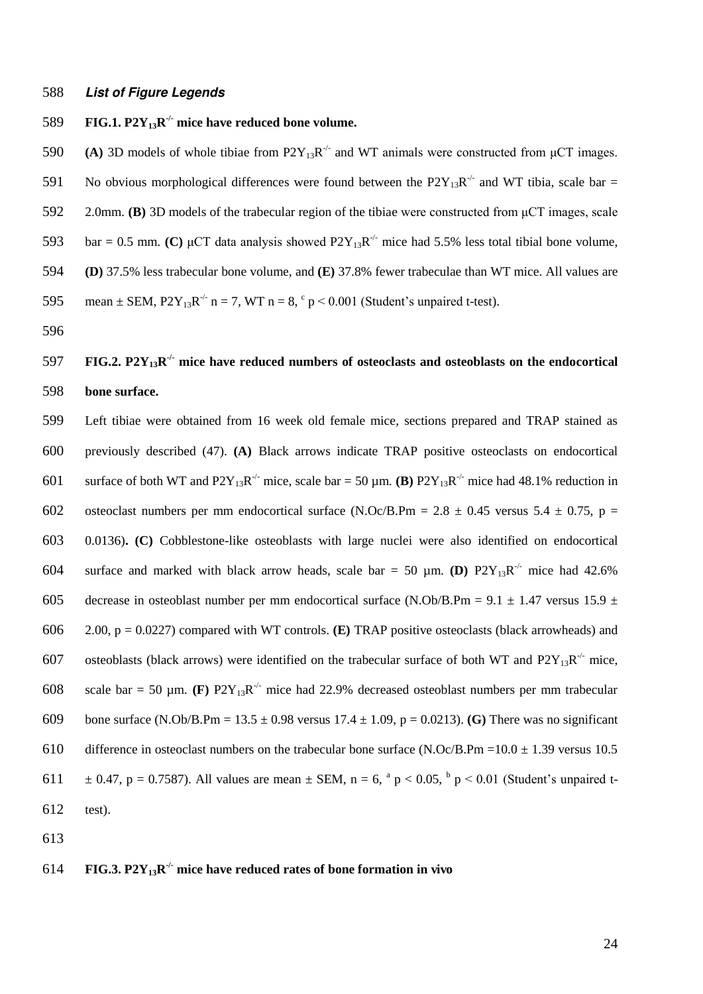#### 588 *List of Figure Legends*

# **FIG.1.**  $P2Y_{13}R^{\prime\prime}$  mice have reduced bone volume.

590 (A) 3D models of whole tibiae from  $P2Y_{13}R^{-1}$  and WT animals were constructed from  $\mu$ CT images. 591 No obvious morphological differences were found between the  $P2Y_{13}R^{-1}$  and WT tibia, scale bar = 592 2.0mm. **(B)** 3D models of the trabecular region of the tibiae were constructed from  $\mu$ CT images, scale 593 bar = 0.5 mm. **(C)**  $\mu$ CT data analysis showed P2Y<sub>13</sub>R<sup>-/-</sup> mice had 5.5% less total tibial bone volume, 594 **(D)** 37.5% less trabecular bone volume, and **(E)** 37.8% fewer trabeculae than WT mice. All values are 595 mean  $\pm$  SEM, P2Y<sub>13</sub>R<sup>-/-</sup> n = 7, WT n = 8,  $\degree$  p < 0.001 (Student's unpaired t-test).

596

# **FIG.2. P2Y**<sub>13</sub> $\mathbb{R}^{\neq}$  mice have reduced numbers of osteoclasts and osteoblasts on the endocortical 598 **bone surface.**

599 Left tibiae were obtained from 16 week old female mice, sections prepared and TRAP stained as 600 previously described (47). **(A)** Black arrows indicate TRAP positive osteoclasts on endocortical 601 surface of both WT and  $P2Y_{13}R^{-1}$  mice, scale bar = 50  $\mu$ m. **(B)**  $P2Y_{13}R^{-1}$  mice had 48.1% reduction in 602 osteoclast numbers per mm endocortical surface (N.Oc/B.Pm =  $2.8 \pm 0.45$  versus  $5.4 \pm 0.75$ , p = 603 0.0136)**. (C)** Cobblestone-like osteoblasts with large nuclei were also identified on endocortical 604 surface and marked with black arrow heads, scale bar = 50  $\mu$ m. **(D)**  $P2Y_{13}R^{-1}$  mice had 42.6% 605 decrease in osteoblast number per mm endocortical surface (N.Ob/B.Pm =  $9.1 \pm 1.47$  versus 15.9  $\pm$ 606 2.00, p = 0.0227) compared with WT controls. **(E)** TRAP positive osteoclasts (black arrowheads) and 607 osteoblasts (black arrows) were identified on the trabecular surface of both WT and  $P2Y_{13}R^{-1}$  mice, 608 scale bar = 50  $\mu$ m. **(F)** P2Y<sub>13</sub>R<sup>-/-</sup> mice had 22.9% decreased osteoblast numbers per mm trabecular 609 bone surface (N.Ob/B.Pm = 13.5 ± 0.98 versus 17.4 ± 1.09, p = 0.0213). **(G)** There was no significant 610 difference in osteoclast numbers on the trabecular bone surface  $(N.Oc/B.Pm = 10.0 \pm 1.39)$  versus 10.5 611  $\pm$  0.47, p = 0.7587). All values are mean  $\pm$  SEM, n = 6,  $^{a}$  p < 0.05,  $^{b}$  p < 0.01 (Student's unpaired t-612 test).

613

# **FIG.3. P2Y**<sub>13</sub> $\mathbb{R}^{\prime}$  mice have reduced rates of bone formation in vivo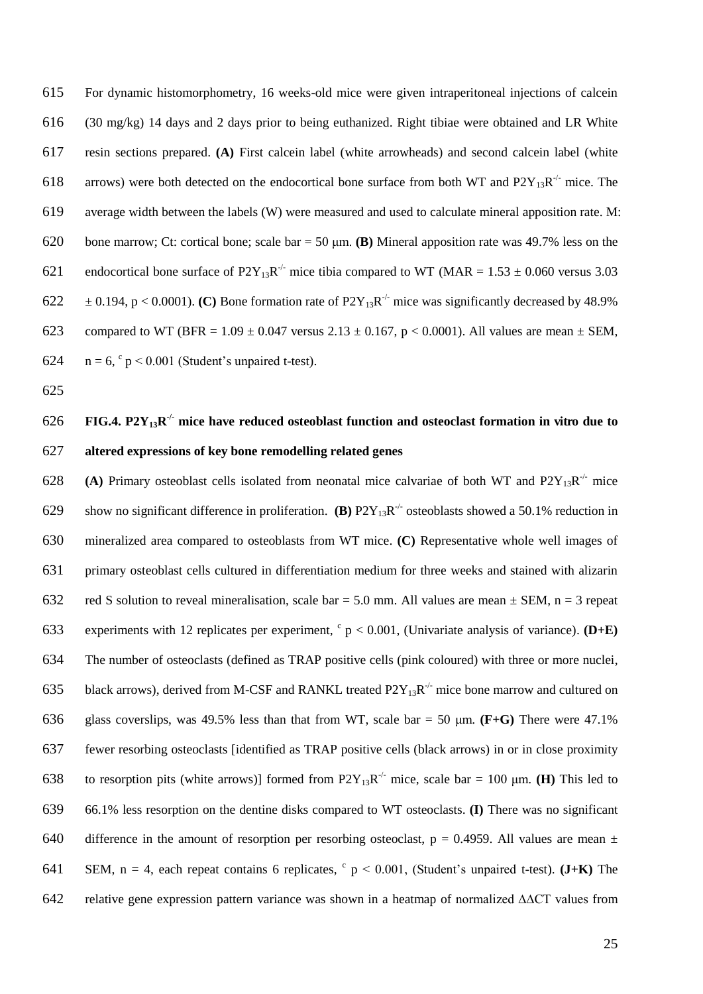615 For dynamic histomorphometry, 16 weeks-old mice were given intraperitoneal injections of calcein 616 (30 mg/kg) 14 days and 2 days prior to being euthanized. Right tibiae were obtained and LR White 617 resin sections prepared. **(A)** First calcein label (white arrowheads) and second calcein label (white 618 arrows) were both detected on the endocortical bone surface from both WT and  $P2Y_{13}R^{-1}$  mice. The 619 average width between the labels (W) were measured and used to calculate mineral apposition rate. M: 620 bone marrow; Ct: cortical bone; scale  $bar = 50 \text{ µm}$ . **(B)** Mineral apposition rate was 49.7% less on the 621 endocortical bone surface of P2Y<sub>13</sub>R<sup>-/-</sup> mice tibia compared to WT (MAR = 1.53  $\pm$  0.060 versus 3.03  $\text{622 } \pm 0.194$ , p < 0.0001). (C) Bone formation rate of P2Y<sub>13</sub>R<sup>-/-</sup> mice was significantly decreased by 48.9% 623 compared to WT (BFR =  $1.09 \pm 0.047$  versus  $2.13 \pm 0.167$ , p < 0.0001). All values are mean  $\pm$  SEM, 624  $n = 6$ ,  $\degree p \le 0.001$  (Student's unpaired t-test).

625

# **FIG.4. P2Y**<sub>13</sub> $\mathbf{R}^{\prime}$  mice have reduced osteoblast function and osteoclast formation in vitro due to 627 **altered expressions of key bone remodelling related genes**

628 (A) Primary osteoblast cells isolated from neonatal mice calvariae of both WT and  $P2Y_{13}R^{\prime\prime}$  mice 629 show no significant difference in proliferation. **(B)**  $P2Y_{13}R^{-1}$  osteoblasts showed a 50.1% reduction in 630 mineralized area compared to osteoblasts from WT mice. **(C)** Representative whole well images of 631 primary osteoblast cells cultured in differentiation medium for three weeks and stained with alizarin 632 red S solution to reveal mineralisation, scale bar = 5.0 mm. All values are mean  $\pm$  SEM, n = 3 repeat 633 experiments with 12 replicates per experiment,  $c$  p < 0.001, (Univariate analysis of variance). **(D+E)** 634 The number of osteoclasts (defined as TRAP positive cells (pink coloured) with three or more nuclei, 635 black arrows), derived from M-CSF and RANKL treated  $P2Y_{13}R^{-1}$  mice bone marrow and cultured on 636 glass coverslips, was 49.5% less than that from WT, scale bar = 50  $\mu$ m. **(F+G)** There were 47.1% 637 fewer resorbing osteoclasts [identified as TRAP positive cells (black arrows) in or in close proximity 638 to resorption pits (white arrows)] formed from  $P2Y_{13}R^{-1}$  mice, scale bar = 100  $\mu$ m. **(H)** This led to 639 66.1% less resorption on the dentine disks compared to WT osteoclasts. **(I)** There was no significant 640 difference in the amount of resorption per resorbing osteoclast,  $p = 0.4959$ . All values are mean  $\pm$ 641 SEM,  $n = 4$ , each repeat contains 6 replicates,  $c_p < 0.001$ , (Student's unpaired t-test). (J+K) The 642 relative gene expression pattern variance was shown in a heatmap of normalized ∆∆CT values from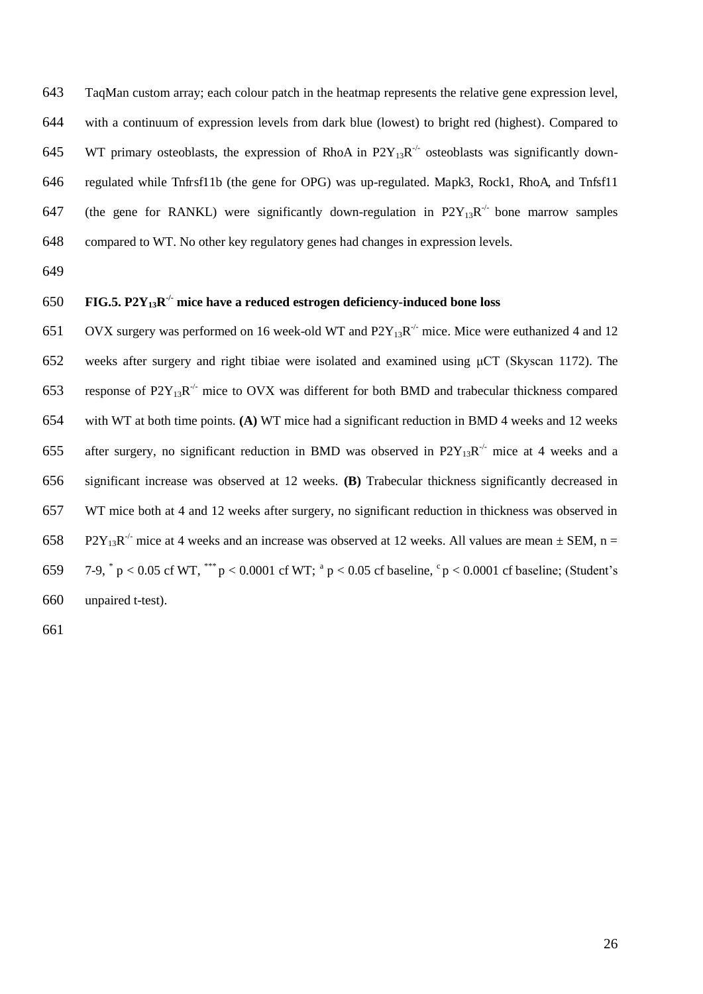TaqMan custom array; each colour patch in the heatmap represents the relative gene expression level, with a continuum of expression levels from dark blue (lowest) to bright red (highest). Compared to 645 WT primary osteoblasts, the expression of RhoA in  $P2Y_{13}R^{-1}$  osteoblasts was significantly down-regulated while Tnfrsf11b (the gene for OPG) was up-regulated. Mapk3, Rock1, RhoA, and Tnfsf11 647 (the gene for RANKL) were significantly down-regulation in  $P2Y_{13}R^{-1}$  bone marrow samples compared to WT. No other key regulatory genes had changes in expression levels.

649

# **FIG.5. P2Y**<sub>13</sub> $\mathbb{R}^{\prime}$  mice have a reduced estrogen deficiency-induced bone loss

651 OVX surgery was performed on 16 week-old WT and  $P2Y_{13}R^{-1}$  mice. Mice were euthanized 4 and 12 652 weeks after surgery and right tibiae were isolated and examined using  $\mu$ CT (Skyscan 1172). The 653 response of  $P2Y_{13}R^{-/-}$  mice to OVX was different for both BMD and trabecular thickness compared 654 with WT at both time points. **(A)** WT mice had a significant reduction in BMD 4 weeks and 12 weeks 655 after surgery, no significant reduction in BMD was observed in  $P2Y_{13}R^{-1}$  mice at 4 weeks and a 656 significant increase was observed at 12 weeks. **(B)** Trabecular thickness significantly decreased in 657 WT mice both at 4 and 12 weeks after surgery, no significant reduction in thickness was observed in 658 P2Y<sub>13</sub>R<sup>-/-</sup> mice at 4 weeks and an increase was observed at 12 weeks. All values are mean  $\pm$  SEM, n = 659 7-9,  $p < 0.05$  cf WT,  $p < 0.0001$  cf WT;  $p < 0.05$  cf baseline,  $p < 0.0001$  cf baseline; (Student's 660 unpaired t-test).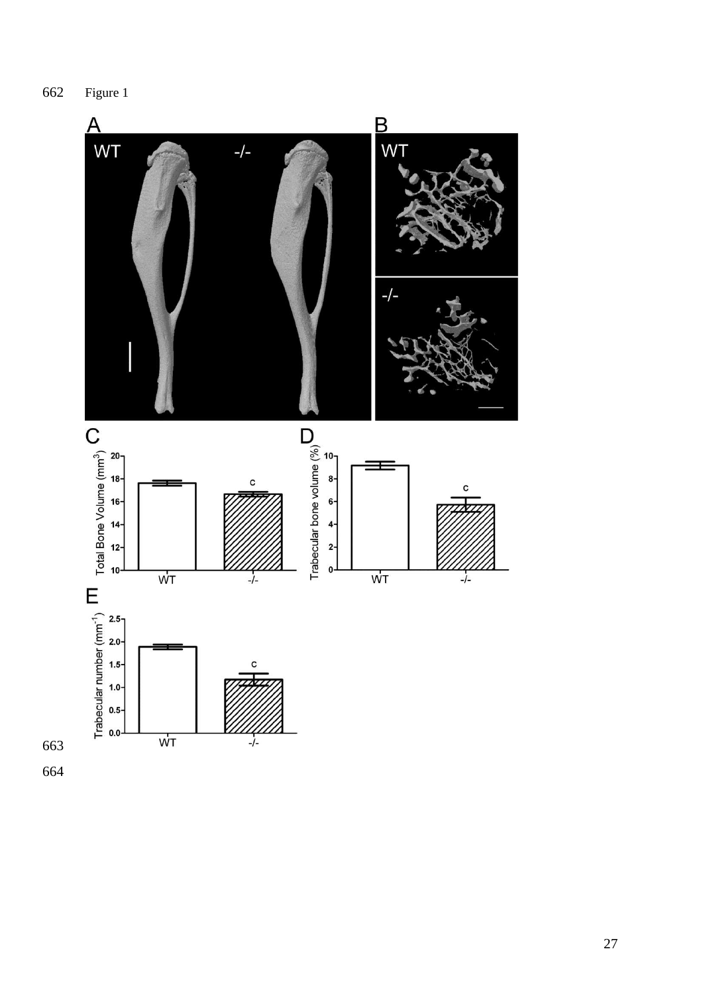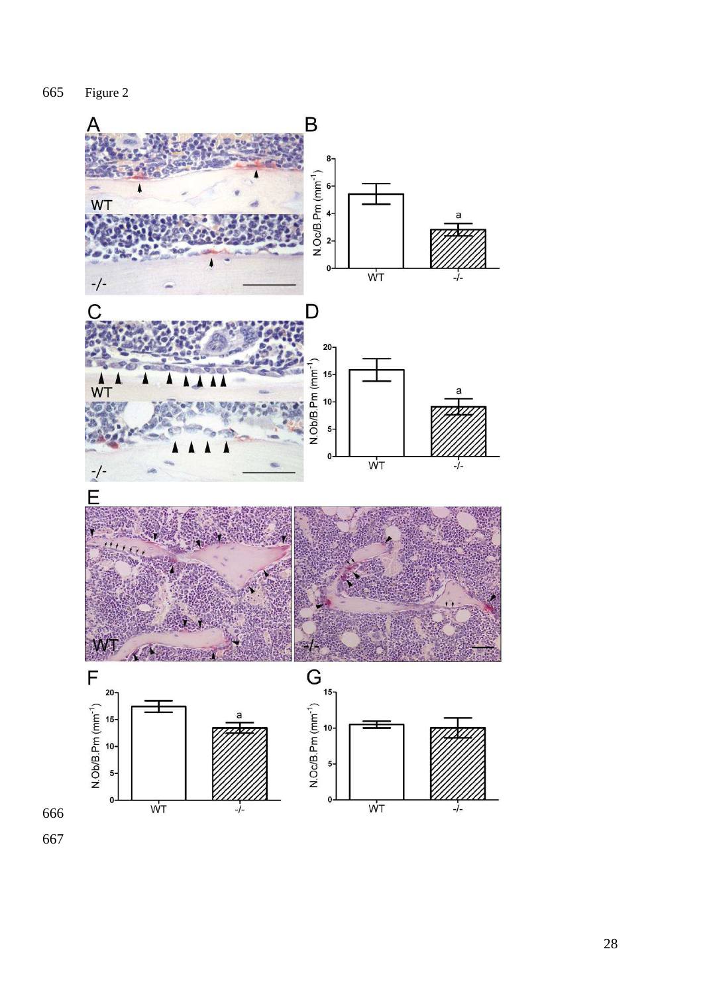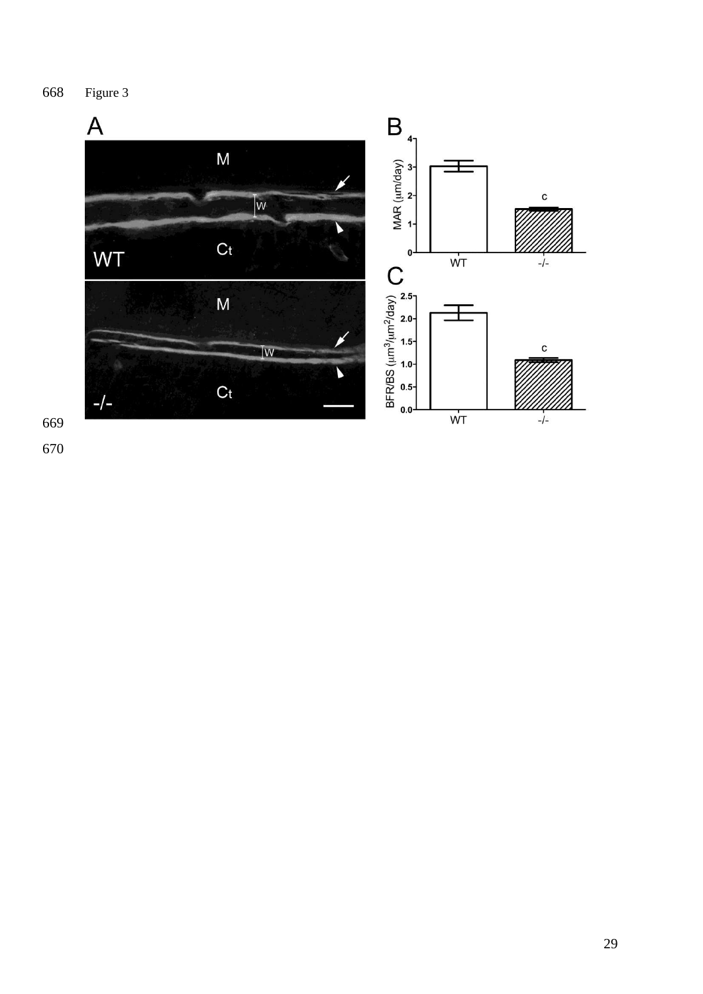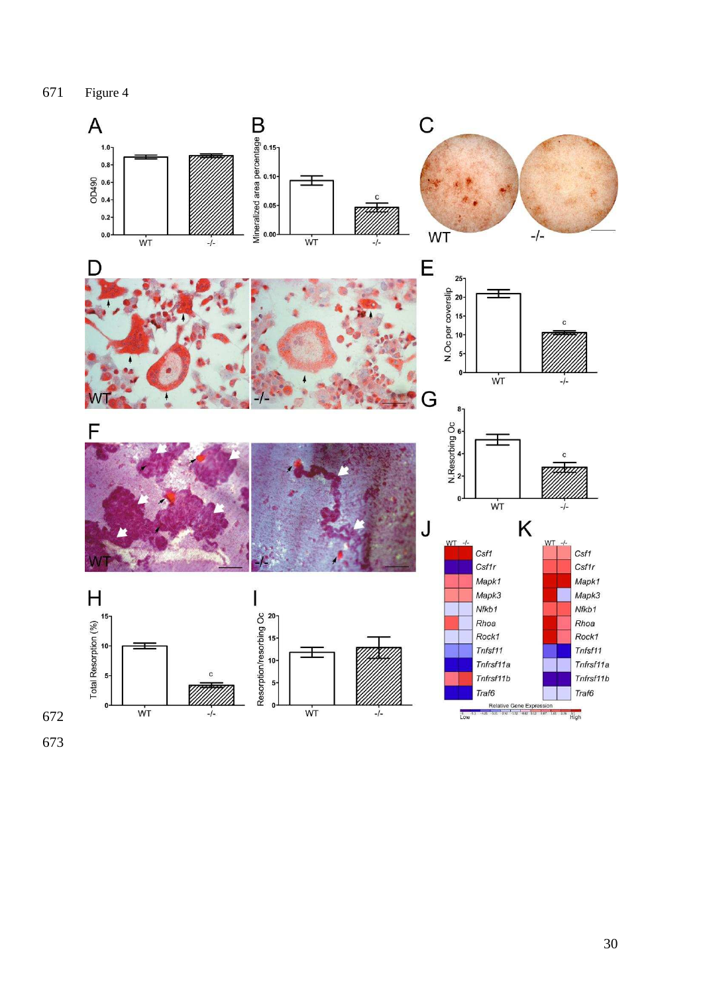